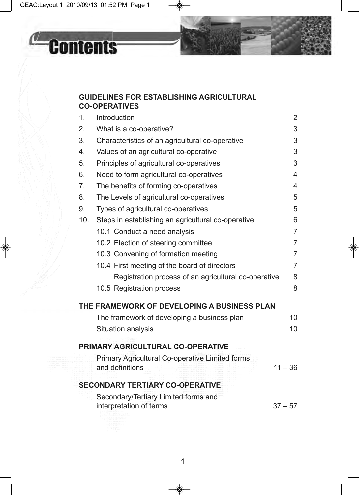# **Contents**

ń. Á

# **GUIDELINES FOR ESTABLISHING AGRICULTURAL CO-OPERATIVES**

| 1.  | Introduction                                                                                                                                           | 2         |
|-----|--------------------------------------------------------------------------------------------------------------------------------------------------------|-----------|
| 2.  | What is a co-operative?                                                                                                                                | 3         |
| 3.  | Characteristics of an agricultural co-operative                                                                                                        | 3         |
| 4.  | Values of an agricultural co-operative                                                                                                                 | 3         |
| 5.  | Principles of agricultural co-operatives                                                                                                               | 3         |
| 6.  | Need to form agricultural co-operatives                                                                                                                | 4         |
| 7.  | The benefits of forming co-operatives                                                                                                                  | 4         |
| 8.  | The Levels of agricultural co-operatives                                                                                                               | 5         |
| 9.  | Types of agricultural co-operatives                                                                                                                    | 5         |
| 10. | Steps in establishing an agricultural co-operative                                                                                                     | 6         |
|     | 10.1 Conduct a need analysis                                                                                                                           | 7         |
|     | 10.2 Election of steering committee                                                                                                                    | 7         |
|     | 10.3 Convening of formation meeting                                                                                                                    | 7         |
|     | 10.4 First meeting of the board of directors                                                                                                           | 7         |
|     | Registration process of an agricultural co-operative                                                                                                   | 8         |
|     | 10.5 Registration process                                                                                                                              | 8         |
|     | THE FRAMEWORK OF DEVELOPING A BUSINESS PLAN                                                                                                            |           |
|     | The framework of developing a business plan                                                                                                            | 10        |
|     | Situation analysis                                                                                                                                     | 10        |
|     | PRIMARY AGRICULTURAL CO-OPERATIVE                                                                                                                      |           |
|     | Primary Agricultural Co-operative Limited form<br>and definitions<br><b>SECONDARY TERTIARY CO-OPERATIVE</b><br>i. Secondary/Tertialy) imited forms and | $11 - 36$ |
|     | interpretation di terms                                                                                                                                | $37 - 57$ |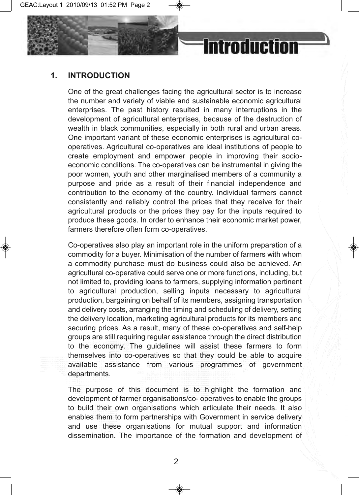# **Introduction**

# **1. INTRODUCTION**

One of the great challenges facing the agricultural sector is to increase the number and variety of viable and sustainable economic agricultural enterprises. The past history resulted in many interruptions in the development of agricultural enterprises, because of the destruction of wealth in black communities, especially in both rural and urban areas. One important variant of these economic enterprises is agricultural cooperatives. Agricultural co-operatives are ideal institutions of people to create employment and empower people in improving their socioeconomic conditions. The co-operatives can be instrumental in giving the poor women, youth and other marginalised members of a community a purpose and pride as a result of their financial independence and contribution to the economy of the country. Individual farmers cannot consistently and reliably control the prices that they receive for their agricultural products or the prices they pay for the inputs required to produce these goods. In order to enhance their economic market power, farmers therefore often form co-operatives.

Co-operatives also play an important role in the uniform preparation of a commodity for a buyer. Minimisation of the number of farmers with whom a commodity purchase must do business could also be achieved. An agricultural co-operative could serve one or more functions, including, but not limited to, providing loans to farmers, supplying information pertinent to agricultural production, selling inputs necessary to agricultural production, bargaining on behalf of its members, assigning transportation and delivery costs, arranging the timing and scheduling of delivery, setting the delivery location, marketing agricultural products for its members and securing prices. As a result, many of these co-operatives and self-help groups are still requiring regular assistance through the direct distribution to the economy. The guidelines will assist these farmers to form themselves into co-operatives so that they could be able to acquire available assistance from various programmes of government 117 - 128 | 128 | 128 | 128 | 128 | 128 | 128 | 128 | 128 | 128 | 128 | 128 | 128 | 128 | 128 | 128 | 128 | 1 departments. - СПС 6651 ПРОГЛЯМОВОГО 11498014141-1<br>- СК - МЕР СОССОВОВОГО 114980-1444-1<br>- ГР - МЕР СОССОВОВОГО 14580-1441-1

The purpose of this document is to highlight the formation and development of farmer providents attons/co- operatives to enable the groups to build their own organisations which articulate their needs. It also enables them to form partnerships with Government in service delivery and use these organisations for mutual support and information dissemination. The importance of the formation and development  $\delta f$ 

u ya m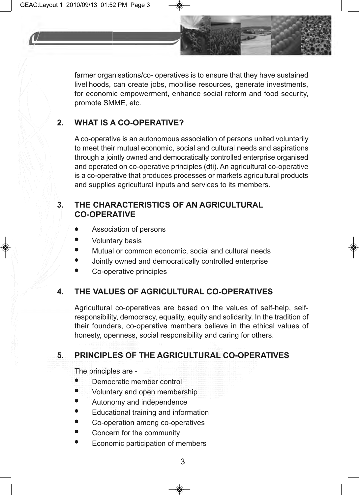farmer organisations/co- operatives is to ensure that they have sustained livelihoods, can create jobs, mobilise resources, generate investments, for economic empowerment, enhance social reform and food security, promote SMME, etc.

# **2. WHAT IS A CO-OPERATIVE?**

A co-operative is an autonomous association of persons united voluntarily to meet their mutual economic, social and cultural needs and aspirations through a jointly owned and democratically controlled enterprise organised and operated on co-operative principles (dti). An agricultural co-operative is a co-operative that produces processes or markets agricultural products and supplies agricultural inputs and services to its members.

# **3. THE CHARACTERISTICS OF AN AGRICULTURAL CO-OPERATIVE**

- Association of persons
- **Voluntary basis**

実際に 体に

- Mutual or common economic, social and cultural needs
- Jointly owned and democratically controlled enterprise
- Co-operative principles

# **4. THE VALUES OF AGRICULTURAL CO-OPERATIVES**

Agricultural co-operatives are based on the values of self-help, selfresponsibility, democracy, equality, equity and solidarity. In the tradition of their founders, co-operative members believe in the ethical values of honesty, openness, social responsibility and caring for others. How the company of the company of the company of the company of the company of the company of the company of the company of the company of the company of the company of the company of the company of the company of the comp

# **5. PRINCIPLES OF THE AGRICULTURAL CO-OPERATIVES**

- The principles are
	- e principles are <sup>an</sup> adjunctifications and an international service of the magnetic member of the magnetic member of the magnetic member of the magnetic member of the magnetic member of the magnetic member of the magnet
	- Voluntary and open membership...
	-
	- Autonomy and the pendence
	- **Educational training and information**
	- Co-operation among co-operatives
	- Concern for the community
	- Economic participation of members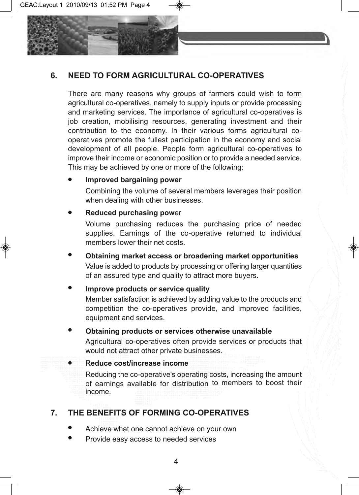## **6. NEED TO FORM AGRICULTURAL CO-OPERATIVES**

There are many reasons why groups of farmers could wish to form agricultural co-operatives, namely to supply inputs or provide processing and marketing services. The importance of agricultural co-operatives is job creation, mobilising resources, generating investment and their contribution to the economy. In their various forms agricultural cooperatives promote the fullest participation in the economy and social development of all people. People form agricultural co-operatives to improve their income or economic position or to provide a needed service. This may be achieved by one or more of the following:

化乙烯酸 医精神病

#### **Improved bargaining power**

Combining the volume of several members leverages their position when dealing with other businesses.

#### **Reduced purchasing power**

Volume purchasing reduces the purchasing price of needed supplies. Earnings of the co-operative returned to individual members lower their net costs.

**Obtaining market access or broadening market opportunities** Value is added to products by processing or offering larger quantities of an assured type and quality to attract more buyers.

#### **Improve products or service quality**

Member satisfaction is achieved by adding value to the products and competition the co-operatives provide, and improved facilities, equipment and services.

**Obtaining products or services otherwise unavailable** Agricultural co-operatives often provide services or products that

would not attract other private businesses. ● **Reduce cost/increase income Reducing the co-operative's operating costs, increasing the amount** of earnings available for distribution to members to boost their

- income. **THE WESTERN F**
- **7. THE BENEFITS OF FORMING CO-OPERATIVES**
	- Achieve what one cannot achieve on your own
	- Provide easy access to needed services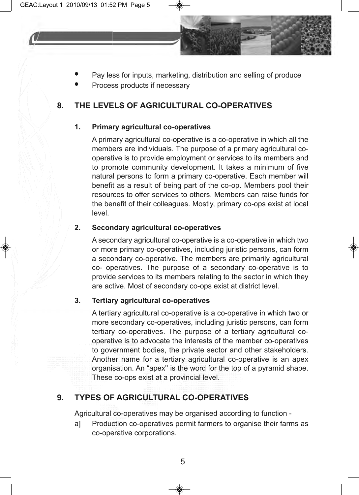- Pay less for inputs, marketing, distribution and selling of produce
- Process products if necessary

# **8. THE LEVELS OF AGRICULTURAL CO-OPERATIVES**

#### **1. Primary agricultural co-operatives**

A primary agricultural co-operative is a co-operative in which all the members are individuals. The purpose of a primary agricultural cooperative is to provide employment or services to its members and to promote community development. It takes a minimum of five natural persons to form a primary co-operative. Each member will benefit as a result of being part of the co-op. Members pool their resources to offer services to others. Members can raise funds for the benefit of their colleagues. Mostly, primary co-ops exist at local level.

#### **2. Secondary agricultural co-operatives**

A secondary agricultural co-operative is a co-operative in which two or more primary co-operatives, including juristic persons, can form a secondary co-operative. The members are primarily agricultural co- operatives. The purpose of a secondary co-operative is to provide services to its members relating to the sector in which they are active. Most of secondary co-ops exist at district level.

#### **3. Tertiary agricultural co-operatives**

実際に 体に

A tertiary agricultural co-operative is a co-operative in which two or more secondary co-operatives, including juristic persons, can form tertiary co-operatives. The purpose of a tertiary agricultural cooperative is to advocate the interests of the member co-operatives to government bodies, the private sector and other stakeholders. Another name for a tertiary agricultural co-operative is an apex organisation. An "apex" is the word for the top of a pyramid shape. These co-ops exist at a provincial level.

ELECTRIC DESCRIPTION

# **9. TYPES OF AGRICULTURAL CO-OPERATIVES**

Agricultural co-operatives may be organised according to function -

a] Production co-operatives permit farmers to organise their farms as co-operative corporations.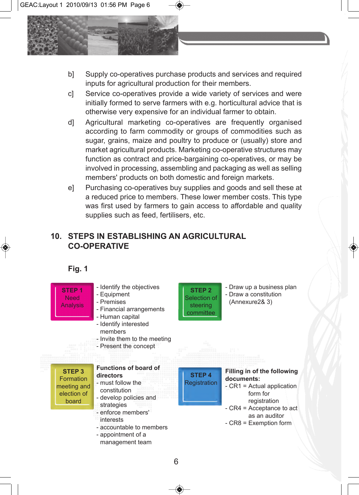- b] Supply co-operatives purchase products and services and required inputs for agricultural production for their members.
- c] Service co-operatives provide a wide variety of services and were initially formed to serve farmers with e.g. horticultural advice that is otherwise very expensive for an individual farmer to obtain.
- d] Agricultural marketing co-operatives are frequently organised according to farm commodity or groups of commodities such as sugar, grains, maize and poultry to produce or (usually) store and market agricultural products. Marketing co-operative structures may function as contract and price-bargaining co-operatives, or may be involved in processing, assembling and packaging as well as selling members' products on both domestic and foreign markets.
- e] Purchasing co-operatives buy supplies and goods and sell these at a reduced price to members. These lower member costs. This type was first used by farmers to gain access to affordable and quality supplies such as feed, fertilisers, etc.

# **10. STEPS IN ESTABLISHING AN AGRICULTURAL CO-OPERATIVE**

#### **Fig. 1**

**STEP 1 Need Analysis** 

- Identify the objectives
- Equipment
- Premises
- Financial arrangements
- Human capital - Identify interested members
- Invite them to the meeting
- Present the concept

**STEP 3 Formation** meeting and election of board

#### **Functions of board of directors**

- must follow the constitution
- develop policies and strategies
- enforce members' interests
- accountable to members
- appointment of a management team

**STEP 2** Selection of steering committee

**STEP 4 Registration** 

#### **Filling in of the following documents:**

- Draw up a business plan - Draw a constitution (Annexure2& 3)

- CR1 = Actual application form for registration
- CR4 = Acceptance to act as an auditor
- CR8 = Exemption form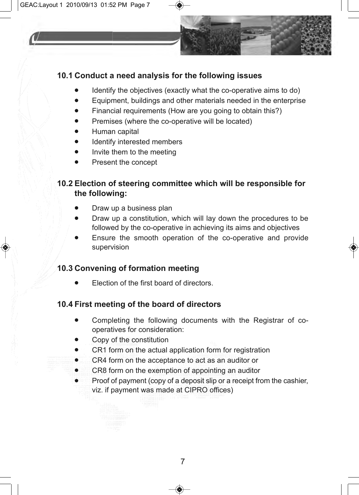

- Identify the objectives (exactly what the co-operative aims to do)
- Equipment, buildings and other materials needed in the enterprise
- Financial requirements (How are you going to obtain this?)
- Premises (where the co-operative will be located)
- Human capital
- Identify interested members
- Invite them to the meeting
- Present the concept

# **10.2 Election of steering committee which will be responsible for the following:**

- Draw up a business plan
- Draw up a constitution, which will lay down the procedures to be followed by the co-operative in achieving its aims and objectives
- Ensure the smooth operation of the co-operative and provide supervision

# **10.3 Convening of formation meeting**

Election of the first board of directors.

# **10.4 First meeting of the board of directors**

- Completing the following documents with the Registrar of cooperatives for consideration:
- Copy of the constitution

- CR1 form on the actual application form for registration
- CR4 form on the acceptance to act as an auditor or
- CR8 form on the exemption of appointing an auditor
	- **Proof of payment (copy of a deposit slip or a receipt from the cashier,** 
		- **...viz.** if payment was made at CIPRO offices)

7345589834343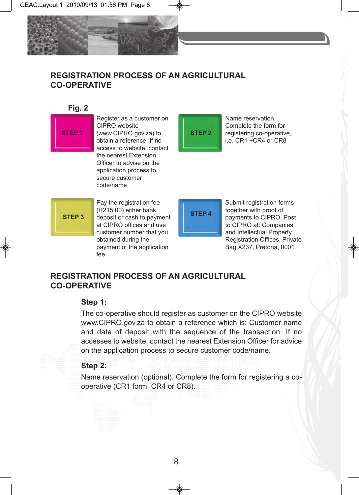# **REGISTRATION PROCESS OF AN AGRICULTURAL CO-OPERATIVE**

**Fig. 2**

**STEP 1**

Register as a customer on CIPRO website (www.CIPRO.gov.za) to obtain a reference. If no access to website, contact the nearest Extension Officer to advise on the application process to secure customer code/name

**STEP 2**

Name reservation. Complete the form for registering co-operative, i.e. CR1 +CR4 or CR8



Pay the registration fee (R215,00) either bank deposit or cash to payment at CIPRO offices and use customer number that you obtained during the payment of the application fee.



Submit registration forms together with proof of payments to CIPRO. Post to CIPRO at: Companies and Intellectual Property Registration Offices, Private Bag X237, Pretoria, 0001

# **REGISTRATION PROCESS OF AN AGRICULTURAL CO-OPERATIVE**

#### **Step 1:**

The co-operative should register as customer on the CIPRO website www.CIPRO.gov.za to obtain a reference which is: Customer name and date of deposit with the sequence of the transaction. If no accesses to website, contact the nearest Extension Officer for advice on the application process to secure customer code/name.

#### **Step 2:**

Name reservation (optional). Complete the form for registering a cooperative (CR1 form, CR4 or CR8).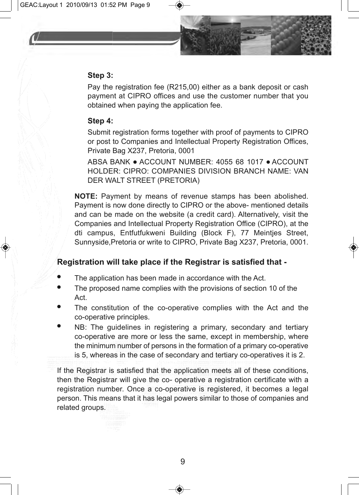# **Step 3:**

Pay the registration fee (R215,00) either as a bank deposit or cash payment at CIPRO offices and use the customer number that you obtained when paying the application fee.

#### **Step 4:**

「「「「「「「「「「「「」」

Submit registration forms together with proof of payments to CIPRO or post to Companies and Intellectual Property Registration Offices, Private Bag X237, Pretoria, 0001

ABSA BANK ● ACCOUNT NUMBER: 4055 68 1017 ● ACCOUNT HOLDER: CIPRO: COMPANIES DIVISION BRANCH NAME: VAN DER WALT STREET (PRETORIA)

**NOTE:** Payment by means of revenue stamps has been abolished. Payment is now done directly to CIPRO or the above- mentioned details and can be made on the website (a credit card). Alternatively, visit the Companies and Intellectual Property Registration Office (CIPRO), at the dti campus, Entfutfukweni Building (Block F), 77 Meintjes Street, Sunnyside,Pretoria or write to CIPRO, Private Bag X237, Pretoria, 0001.

# **Registration will take place if the Registrar is satisfied that -**

- The application has been made in accordance with the Act.
- The proposed name complies with the provisions of section 10 of the Act.
- The constitution of the co-operative complies with the Act and the co-operative principles.
- NB: The guidelines in registering a primary, secondary and tertiary co-operative are more or less the same, except in membership, where the minimum number of persons in the formation of a primary co-operative is 5, whereas in the case of secondary and tertiary co-operatives it is 2.

 $\frac{1}{2}$  and  $\frac{1}{2}$ **Beautiful** 

If the Registrar is satisfied that the application meets all of these conditions, then the Registrar will give the co- operative a registration certificate with a registration number. Once a to-operative is registered, it becomes a legal person. This means that it has legal powers similar to those of companies and related groups.

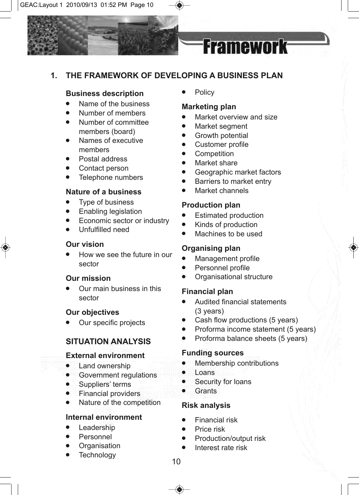# **1. THE FRAMEWORK OF DEVELOPING A BUSINESS PLAN**

#### **Business description**

- Name of the business
- Number of members
- Number of committee members (board)
- Names of executive members
- Postal address
- Contact person
- **Telephone numbers**

#### **Nature of a business**

- Type of business
- **Enabling legislation**
- Economic sector or industry
- Unfulfilled need

#### **Our vision**

How we see the future in our sector

#### **Our mission**

Our main business in this sector

#### **Our objectives**

Our specific projects

# **SITUATION ANALYSIS**

- 
- **External environment**
- Land ownership
- **Bovernment regulations**
- Suppliers' terms
- **Financial providers**
- Nature of the competition

# **Internal environment**

- **Leadership**
- Personnel
- **Organisation**
- **Technology**

**Policy** 

#### **Marketing plan**

Market overview and size

**Framework** 

- Market segment
- **Growth potential**
- Customer profile
- Competition
- **Market share**
- Geographic market factors
- Barriers to market entry
- **Market channels**

#### **Production plan**

- **Estimated production**
- Kinds of production
- Machines to be used

#### **Organising plan**

- Management profile
- Personnel profile
- Organisational structure

#### **Financial plan**

- Audited financial statements (3 years)
- Cash flow productions (5 years)
- Proforma income statement (5 years)
- Proforma balance sheets (5 years)

# **Funding sources**

- Membership contributions
- b**oans**iiliide
- Security for loans
- Grants
	-

# **Risk analysis**

- **Financial risk**
- Price risk
- Production/output risk
- Interest rate risk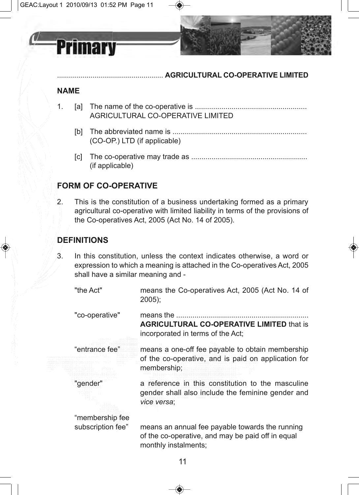# **Primary**

## ...................................................... **AGRICULTURAL CO-OPERATIVE LIMITED**

## **NAME**

- 1. [a] The name of the co-operative is ....................................................... AGRICULTURAL CO-OPERATIVE LIMITED
	- [b] The abbreviated name is .................................................................. (CO-OP.) LTD (if applicable)
	- [c] The co-operative may trade as ......................................................... (if applicable)

# **FORM OF CO-OPERATIVE**

This is the constitution of a business undertaking formed as a primary agricultural co-operative with limited liability in terms of the provisions of the Co-operatives Act, 2005 (Act No. 14 of 2005).

# **DEFINITIONS**

In this constitution, unless the context indicates otherwise, a word or expression to which a meaning is attached in the Co-operatives Act, 2005 shall have a similar meaning and -

**「大学のことをする」ということをすることをする」ということをすることをする。** 

"the Act" means the Co-operatives Act, 2005 (Act No. 14 of 2005);

"co-operative" means the .................................................................

"members

**AGRICULTURAL CO-OPERATIVE LIMITED** that is incorporated in terms of the Act;

entrance fee mans a one-off fee payable to obtain membership of the co-operative, and is paid on application for

membership;

a reference in this constitution to the masculine gender shall also include the feminine gender and *vice versa*;

subscription fee" means an annual fee payable towards the running of the co-operative, and may be paid off in equal monthly instalments;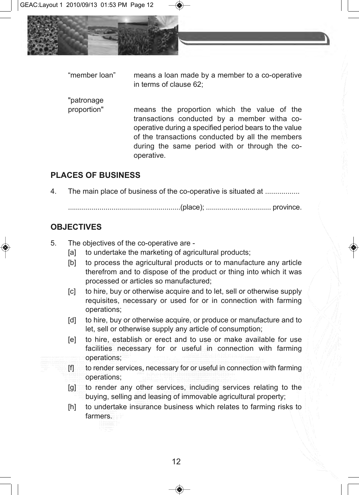"member loan" means a loan made by a member to a co-operative in terms of clause 62;

"patronage

proportion" means the proportion which the value of the transactions conducted by a member witha cooperative during a specified period bears to the value of the transactions conducted by all the members during the same period with or through the cooperative.

## **PLACES OF BUSINESS**

4. The main place of business of the co-operative is situated at ................

.........................................................(place); ................................. province.

## **OBJECTIVES**

- 5. The objectives of the co-operative are
	- [a] to undertake the marketing of agricultural products;
	- [b] to process the agricultural products or to manufacture any article therefrom and to dispose of the product or thing into which it was processed or articles so manufactured;
	- [c] to hire, buy or otherwise acquire and to let, sell or otherwise supply requisites, necessary or used for or in connection with farming operations;
	- [d] to hire, buy or otherwise acquire, or produce or manufacture and to let, sell or otherwise supply any article of consumption;
	- [e] to hire, establish or erect and to use or make available for use facilities necessary for or useful in connection with farming

operations;......

- **fill to render services, necessary for or useful in connection with farming <u>estations;</u>** рголааст препавиалист таавалалагы<br>1955 - Фер Соборов болуп таарылааны тал<br>1951 - Фер Римская хеммин таасаны аргана
	- [g] to render any other services, including services relating to the ़ी buying, selling and leasing of immovable agricultural property;
	- $[h]$  to the primariance business which relates to farming risks to farmers...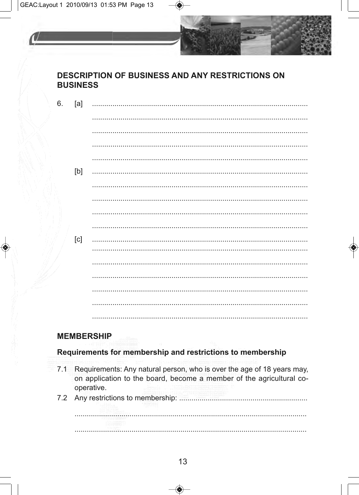

13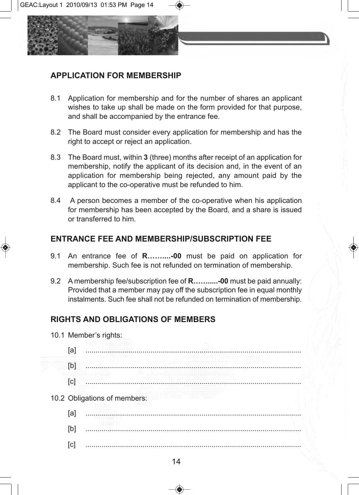## **APPLICATION FOR MEMBERSHIP**

- 8.1 Application for membership and for the number of shares an applicant wishes to take up shall be made on the form provided for that purpose, and shall be accompanied by the entrance fee.
- 8.2 The Board must consider every application for membership and has the right to accept or reject an application.

**大学 医心理学家** 

- 8.3 The Board must, within **3** (three) months after receipt of an application for membership, notify the applicant of its decision and, in the event of an application for membership being rejected, any amount paid by the applicant to the co-operative must be refunded to him.
- 8.4 A person becomes a member of the co-operative when his application for membership has been accepted by the Board, and a share is issued or transferred to him.

### **ENTRANCE FEE AND MEMBERSHIP/SUBSCRIPTION FEE**

- 9.1 An entrance fee of **R……....-00** must be paid on application for membership. Such fee is not refunded on termination of membership.
- 9.2 A membership fee/subscription fee of **R…….....-00** must be paid annually: Provided that a member may pay off the subscription fee in equal monthly instalments. Such fee shall not be refunded on termination of membership.

## **RIGHTS AND OBLIGATIONS OF MEMBERS**



14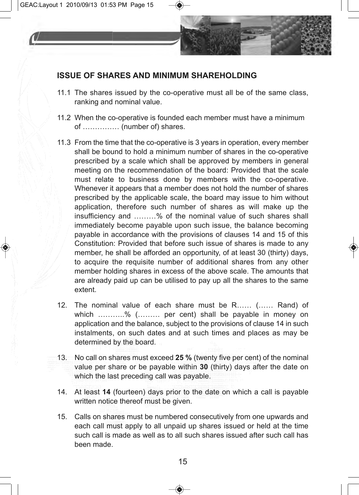「「「「「「「「「「「「」」



# **ISSUE OF SHARES AND MINIMUM SHAREHOLDING**

- 11.1 The shares issued by the co-operative must all be of the same class, ranking and nominal value.
- 11.2 When the co-operative is founded each member must have a minimum of …………… (number of) shares.
- 11.3 From the time that the co-operative is 3 years in operation, every member shall be bound to hold a minimum number of shares in the co-operative prescribed by a scale which shall be approved by members in general meeting on the recommendation of the board: Provided that the scale must relate to business done by members with the co-operative. Whenever it appears that a member does not hold the number of shares prescribed by the applicable scale, the board may issue to him without application, therefore such number of shares as will make up the insufficiency and ………% of the nominal value of such shares shall immediately become payable upon such issue, the balance becoming payable in accordance with the provisions of clauses 14 and 15 of this Constitution: Provided that before such issue of shares is made to any member, he shall be afforded an opportunity, of at least 30 (thirty) days, to acquire the requisite number of additional shares from any other member holding shares in excess of the above scale. The amounts that are already paid up can be utilised to pay up all the shares to the same extent.
- 12. The nominal value of each share must be R…… (…… Rand) of which ………..% (……… per cent) shall be payable in money on application and the balance, subject to the provisions of clause 14 in such instalments, on such dates and at such times and places as may be determined by the board.
- 13. No call on shares must exceed **25 %** (twenty five per cent) of the nominal value per share or be payable within **30** (thirty) days after the date on which the last preceding call was payable.
- 14. At least **14** (fourteen) days prior to the date on which a call is payable written notice thereof must be given.
- FFFFFFFFF 15. Calls on shares must be numbered consecutively from one upwards and each call must apply to all unpaid up shares issued or held at the time such call is made as well as to all such shares issued after such call has been made.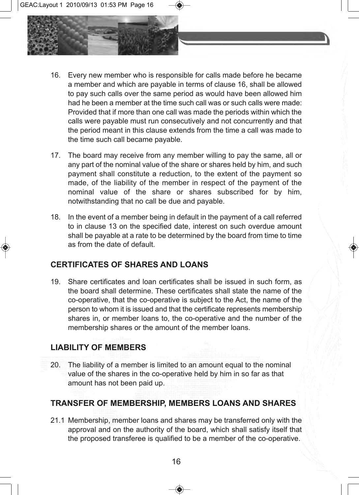16. Every new member who is responsible for calls made before he became a member and which are payable in terms of clause 16, shall be allowed to pay such calls over the same period as would have been allowed him had he been a member at the time such call was or such calls were made: Provided that if more than one call was made the periods within which the calls were payable must run consecutively and not concurrently and that the period meant in this clause extends from the time a call was made to the time such call became payable.

1999年6月19日, 1998年

- 17. The board may receive from any member willing to pay the same, all or any part of the nominal value of the share or shares held by him, and such payment shall constitute a reduction, to the extent of the payment so made, of the liability of the member in respect of the payment of the nominal value of the share or shares subscribed for by him, notwithstanding that no call be due and payable.
- 18. In the event of a member being in default in the payment of a call referred to in clause 13 on the specified date, interest on such overdue amount shall be payable at a rate to be determined by the board from time to time as from the date of default.

# **CERTIFICATES OF SHARES AND LOANS**

19. Share certificates and loan certificates shall be issued in such form, as the board shall determine. These certificates shall state the name of the co-operative, that the co-operative is subject to the Act, the name of the person to whom it is issued and that the certificate represents membership shares in, or member loans to, the co-operative and the number of the membership shares or the amount of the member loans.

# **LIABILITY OF MEMBERS** 20. The liability of a member is limited to an amount equal to the nominal value of the shares in the co-operative held by him in so far as that amount has not been paid up. The manufactured

**TRANSFER OF MEMBERSHIP, MEMBERS LOANS AND SHARES**

21.1 Membership, member loans and shares may be transferred only with the approval and on the authority of the board, which shall satisfy itself that the proposed transferee is qualified to be a member of the co-operative.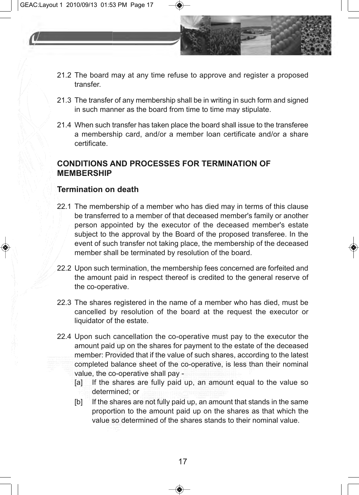- 21.2 The board may at any time refuse to approve and register a proposed transfer.
- 21.3 The transfer of any membership shall be in writing in such form and signed in such manner as the board from time to time may stipulate.
- 21.4 When such transfer has taken place the board shall issue to the transferee a membership card, and/or a member loan certificate and/or a share certificate.

# **CONDITIONS AND PROCESSES FOR TERMINATION OF MEMBERSHIP**

# **Termination on death**

「「「「「「「「「「「「」」

- $22.1$  The membership of a member who has died may in terms of this clause be transferred to a member of that deceased member's family or another person appointed by the executor of the deceased member's estate subject to the approval by the Board of the proposed transferee. In the event of such transfer not taking place, the membership of the deceased member shall be terminated by resolution of the board.
- 22.2 Upon such termination, the membership fees concerned are forfeited and the amount paid in respect thereof is credited to the general reserve of the co-operative.
- 22.3 The shares registered in the name of a member who has died, must be cancelled by resolution of the board at the request the executor or liquidator of the estate.
- 22.4 Upon such cancellation the co-operative must pay to the executor the amount paid up on the shares for payment to the estate of the deceased member: Provided that if the value of such shares, according to the latest completed balance sheet of the co-operative, is less than their nominal walue, the co-operative shall pay result was a sense in the
	- If the shares are fully paid up, an amount equal to the value so  $d$  determined; or  $\frac{d}{d}$  determined; or  $\frac{d}{d}$
	- [b]  $\frac{1}{10}$  If the shares are not fully paid up, an amount that stands in the same proportion to the amount paid up on the shares as that which the value so determined of the shares stands to their nominal value.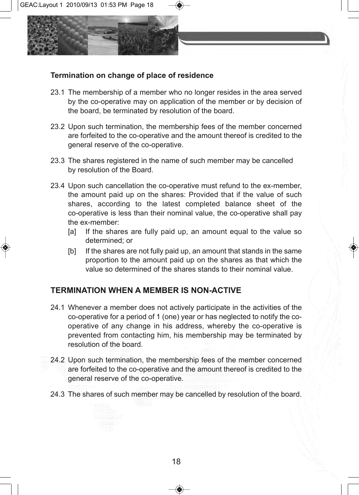#### **Termination on change of place of residence**

- 23.1 The membership of a member who no longer resides in the area served by the co-operative may on application of the member or by decision of the board, be terminated by resolution of the board.
- 23.2 Upon such termination, the membership fees of the member concerned are forfeited to the co-operative and the amount thereof is credited to the general reserve of the co-operative.

- 23.3 The shares registered in the name of such member may be cancelled by resolution of the Board.
- 23.4 Upon such cancellation the co-operative must refund to the ex-member, the amount paid up on the shares: Provided that if the value of such shares, according to the latest completed balance sheet of the co-operative is less than their nominal value, the co-operative shall pay the ex-member:
	- [a] If the shares are fully paid up, an amount equal to the value so determined; or
	- [b] If the shares are not fully paid up, an amount that stands in the same proportion to the amount paid up on the shares as that which the value so determined of the shares stands to their nominal value.

## **TERMINATION WHEN A MEMBER IS NON-ACTIVE**

24.1 Whenever a member does not actively participate in the activities of the co-operative for a period of 1 (one) year or has neglected to notify the cooperative of any change in his address, whereby the co-operative is prevented from contacting him, his membership may be terminated by resolution of the board.

11pon such termination, the membership fees of the member concerned are forfeited to the co-operative and the amount thereof is credited to the general reserve of the co-operative.

andrénansiers –<br>Földungspringer 24.3 The shares of such member may be cancelled by resolution of the board.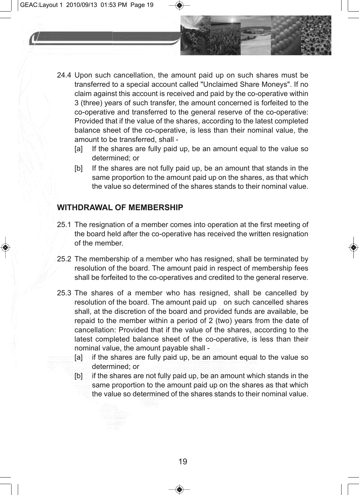- 24.4 Upon such cancellation, the amount paid up on such shares must be transferred to a special account called "Unclaimed Share Moneys". If no claim against this account is received and paid by the co-operative within 3 (three) years of such transfer, the amount concerned is forfeited to the co-operative and transferred to the general reserve of the co-operative: Provided that if the value of the shares, according to the latest completed balance sheet of the co-operative, is less than their nominal value, the amount to be transferred, shall -
	- [a] If the shares are fully paid up, be an amount equal to the value so determined; or
	- [b] If the shares are not fully paid up, be an amount that stands in the same proportion to the amount paid up on the shares, as that which the value so determined of the shares stands to their nominal value.

#### **WITHDRAWAL OF MEMBERSHIP**

「「「「「「「「「「「「」」

- 25.1 The resignation of a member comes into operation at the first meeting of the board held after the co-operative has received the written resignation of the member.
- 25.2 The membership of a member who has resigned, shall be terminated by resolution of the board. The amount paid in respect of membership fees shall be forfeited to the co-operatives and credited to the general reserve.
- 25.3 The shares of a member who has resigned, shall be cancelled by resolution of the board. The amount paid up on such cancelled shares shall, at the discretion of the board and provided funds are available, be repaid to the member within a period of 2 (two) years from the date of cancellation: Provided that if the value of the shares, according to the latest completed balance sheet of the co-operative, is less than their nominal value, the amount payable shall reases

fa] if the shares are fully paid up, be an amount equal to the value so determined; or

**[b] if the shares are not fully paid up, be an amount** which stands in the same proportion to the amount paid up on the shares as that which the value so determined of the shares stands to their nominal value.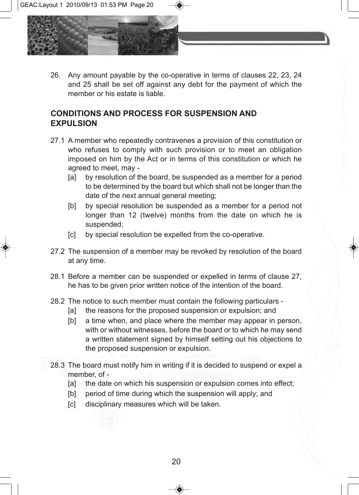26. Any amount payable by the co-operative in terms of clauses 22, 23, 24 and 25 shall be set off against any debt for the payment of which the member or his estate is liable.

# **CONDITIONS AND PROCESS FOR SUSPENSION AND EXPULSION**

- 27.1 A member who repeatedly contravenes a provision of this constitution or who refuses to comply with such provision or to meet an obligation imposed on him by the Act or in terms of this constitution or which he agreed to meet, may -
	- [a] by resolution of the board, be suspended as a member for a period to be determined by the board but which shall not be longer than the date of the next annual general meeting;

计子程序 医精神

- [b] by special resolution be suspended as a member for a period not longer than 12 (twelve) months from the date on which he is suspended;
- [c] by special resolution be expelled from the co-operative.
- 27.2 The suspension of a member may be revoked by resolution of the board at any time.
- 28.1 Before a member can be suspended or expelled in terms of clause 27, he has to be given prior written notice of the intention of the board.
- 28.2 The notice to such member must contain the following particulars
	- [a] the reasons for the proposed suspension or expulsion; and
	- [b] a time when, and place where the member may appear in person, with or without witnesses, before the board or to which he may send a written statement signed by himself setting out his objections to the proposed suspension or expulsion...

The board must notify him in writing if it is decided to suspend or expel a member, of -

.the date on which his suspension or expulsion comes into effect; [b] period of time during which the suspension will apply; and

- [c] disciplinary measures which will be taken.
	-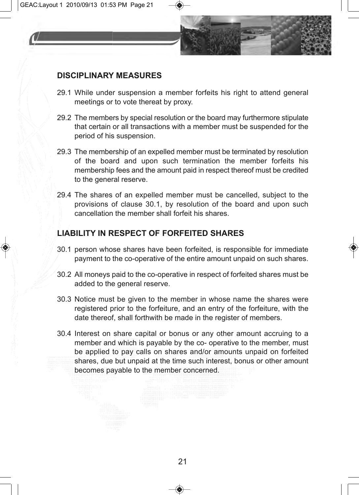「「「「「「「「「「「「」」



- 29.1 While under suspension a member forfeits his right to attend general meetings or to vote thereat by proxy.
- 29.2 The members by special resolution or the board may furthermore stipulate that certain or all transactions with a member must be suspended for the period of his suspension.
- 29.3 The membership of an expelled member must be terminated by resolution of the board and upon such termination the member forfeits his membership fees and the amount paid in respect thereof must be credited to the general reserve.
- 29.4 The shares of an expelled member must be cancelled, subject to the provisions of clause 30.1, by resolution of the board and upon such cancellation the member shall forfeit his shares.

# **LIABILITY IN RESPECT OF FORFEITED SHARES**

- 30.1 person whose shares have been forfeited, is responsible for immediate payment to the co-operative of the entire amount unpaid on such shares.
- 30.2 All moneys paid to the co-operative in respect of forfeited shares must be added to the general reserve.
- 30.3 Notice must be given to the member in whose name the shares were registered prior to the forfeiture, and an entry of the forfeiture, with the date thereof, shall forthwith be made in the register of members.
- 30.4 Interest on share capital or bonus or any other amount accruing to a member and which is payable by the co- operative to the member, must be applied to pay calls on shares and/or amounts unpaid on forfeited shares, due but unpaid at the time such interest, bonus or other amount becomes payable to the member concern

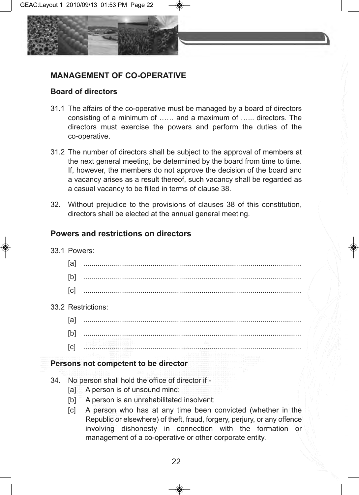# **MANAGEMENT OF CO-OPERATIVE**

#### **Board of directors**

31.1 The affairs of the co-operative must be managed by a board of directors consisting of a minimum of …… and a maximum of …... directors. The directors must exercise the powers and perform the duties of the co-operative.

- 31.2 The number of directors shall be subject to the approval of members at the next general meeting, be determined by the board from time to time. If, however, the members do not approve the decision of the board and a vacancy arises as a result thereof, such vacancy shall be regarded as a casual vacancy to be filled in terms of clause 38.
- 32. Without prejudice to the provisions of clauses 38 of this constitution, directors shall be elected at the annual general meeting.

#### **Powers and restrictions on directors**

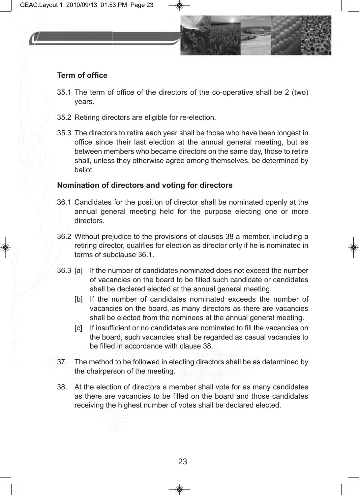### **Term of office**

「「「「「「「「「「「「」」

- 35.1 The term of office of the directors of the co-operative shall be 2 (two) years.
- 35.2 Retiring directors are eligible for re-election.
- 35.3 The directors to retire each year shall be those who have been longest in office since their last election at the annual general meeting, but as between members who became directors on the same day, those to retire shall, unless they otherwise agree among themselves, be determined by ballot.

#### **Nomination of directors and voting for directors**

- 36.1 Candidates for the position of director shall be nominated openly at the annual general meeting held for the purpose electing one or more directors.
- 36.2 Without prejudice to the provisions of clauses 38 a member, including a retiring director, qualifies for election as director only if he is nominated in terms of subclause 36.1.
- 36.3 [a] If the number of candidates nominated does not exceed the number of vacancies on the board to be filled such candidate or candidates shall be declared elected at the annual general meeting.
	- [b] If the number of candidates nominated exceeds the number of vacancies on the board, as many directors as there are vacancies shall be elected from the nominees at the annual general meeting.
	- [c] If insufficient or no candidates are nominated to fill the vacancies on the board, such vacancies shall be regarded as casual vacancies to be filled in accordance with clause 38.
		- echer Euglis à₫. võõb*dud* päipenunemene
- The method to be followed in electing directors shall be as determined by the chairperson of the meeting. The meeting of
	- garggaa f  $\begin{bmatrix} 1 & 0 & 0 \\ 0 & 0 & 0 \\ 0 & 0 & 0 \\ 0 & 0 & 0 \\ 0 & 0 & 0 \\ 0 & 0 & 0 \\ 0 & 0 & 0 \\ 0 & 0 & 0 \\ 0 & 0 & 0 \\ 0 & 0 & 0 \\ 0 & 0 & 0 \\ 0 & 0 & 0 & 0 \\ 0 & 0 & 0 & 0 \\ 0 & 0 & 0 & 0 & 0 \\ 0 & 0 & 0 & 0 & 0 \\ 0 & 0 & 0 & 0 & 0 \\ 0 & 0 & 0 & 0 & 0 \\ 0 & 0 & 0 & 0 & 0 \\ 0 & 0 & 0 & 0 & 0 \\$
- 38. At the election of directors a member shall vote for as many candidates as there are vacancies the filled on the board and those candidates receiving the highest function of votes shall be declared elected.

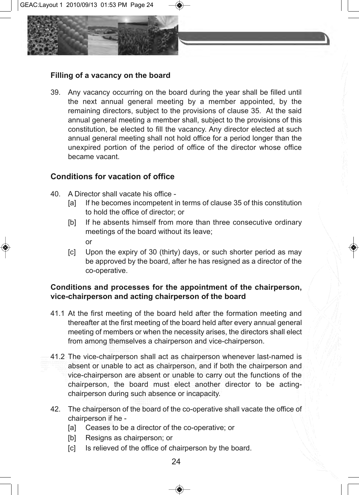#### **Filling of a vacancy on the board**

39. Any vacancy occurring on the board during the year shall be filled until the next annual general meeting by a member appointed, by the remaining directors, subject to the provisions of clause 35. At the said annual general meeting a member shall, subject to the provisions of this constitution, be elected to fill the vacancy. Any director elected at such annual general meeting shall not hold office for a period longer than the unexpired portion of the period of office of the director whose office became vacant.

# **Conditions for vacation of office**

- 40. A Director shall vacate his office
	- [a] If he becomes incompetent in terms of clause 35 of this constitution to hold the office of director; or
	- [b] If he absents himself from more than three consecutive ordinary meetings of the board without its leave; or
	- [c] Upon the expiry of 30 (thirty) days, or such shorter period as may be approved by the board, after he has resigned as a director of the co-operative.

#### **Conditions and processes for the appointment of the chairperson, vice-chairperson and acting chairperson of the board**

41.1 At the first meeting of the board held after the formation meeting and thereafter at the first meeting of the board held after every annual general meeting of members or when the necessity arises, the directors shall elect from among themselves a chairperson and vice-chairperson.

1.2. The vice-chairperson shall act as chairperson whenever last-named is absent or unable to act as chairperson, and if both the chairperson and vice-chairperson are absent or unable to carry out the functions of the chairperson, the board must elect another director to be actingchairperson during such absence or incapacity.

- 42. The chairperson of the board of the co-operative shall vacate the office of chairperson the -
	- [a] Ceases to be a director of the co-operative; or
	- [b] Resigns as chairperson; or
	- [c] Is relieved of the office of chairperson by the board.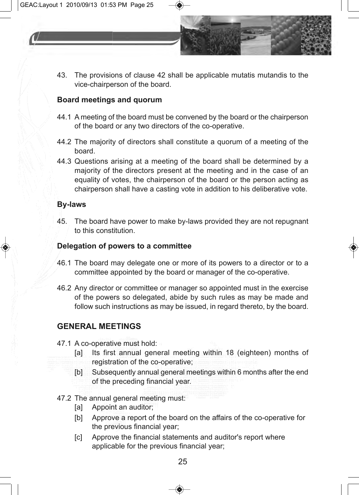43. The provisions of clause 42 shall be applicable mutatis mutandis to the vice-chairperson of the board.

## **Board meetings and quorum**

- 44.1 A meeting of the board must be convened by the board or the chairperson of the board or any two directors of the co-operative.
- 44.2 The majority of directors shall constitute a quorum of a meeting of the board.
- 44.3 Questions arising at a meeting of the board shall be determined by a majority of the directors present at the meeting and in the case of an equality of votes, the chairperson of the board or the person acting as chairperson shall have a casting vote in addition to his deliberative vote.

# **By-laws**

**大家教育 体部的** 

The board have power to make by-laws provided they are not repugnant to this constitution.

# **Delegation of powers to a committee**

- 46.1 The board may delegate one or more of its powers to a director or to a committee appointed by the board or manager of the co-operative.
- 46.2 Any director or committee or manager so appointed must in the exercise of the powers so delegated, abide by such rules as may be made and follow such instructions as may be issued, in regard thereto, by the board.

# **GENERAL MEETINGS**

47.1 A co-operative must hold:

Its first annual general meeting within 18 (eighteen) months of registration of the co-operative; 

[b] Subsequently annual general meetings within 6 months after the end **of the preceding financial year. It was also in the preceding financial year. It was also in the preceding financial stress of the preceding financial stress and the preceding financial stress and the preceding financial** 

47.2 The annual general meeting must

- [a] Appoint an auditor;"
- [b] Approve a report of the board on the affairs of the co-operative for the previous financial year;
- [c] Approve the financial statements and auditor's report where applicable for the previous financial year;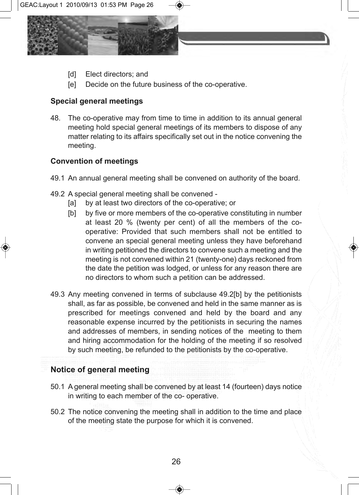- [d] Elect directors; and
- [e] Decide on the future business of the co-operative.

#### **Special general meetings**

48. The co-operative may from time to time in addition to its annual general meeting hold special general meetings of its members to dispose of any matter relating to its affairs specifically set out in the notice convening the meeting.

计有效 医精神

#### **Convention of meetings**

- 49.1 An annual general meeting shall be convened on authority of the board.
- 49.2 A special general meeting shall be convened
	- [a] by at least two directors of the co-operative; or
	- [b] by five or more members of the co-operative constituting in number at least 20 % (twenty per cent) of all the members of the cooperative: Provided that such members shall not be entitled to convene an special general meeting unless they have beforehand in writing petitioned the directors to convene such a meeting and the meeting is not convened within 21 (twenty-one) days reckoned from the date the petition was lodged, or unless for any reason there are no directors to whom such a petition can be addressed.
- 49.3 Any meeting convened in terms of subclause 49.2[b] by the petitionists shall, as far as possible, be convened and held in the same manner as is prescribed for meetings convened and held by the board and any reasonable expense incurred by the petitionists in securing the names and addresses of members, in sending notices of the meeting to them and hiring accommodation for the holding of the meeting if so resolved by such meeting, be refunded to the petitionists by the co-operative.

**Notice of general meeting**

- etyygdalainen kuitetti DBC GSSLLCBCGGganpaggallasu.galli :<br>Tre see; rrhnnaesonnnnnnaesonailli : 50.1 A general meeting shall be convened by at least 14 (fourteen) days notice in writing to each member of the co- operative.
- 50.2 The notice comvening the meeting shall in addition to the time and place of the meeting state the purpose for which it is convened.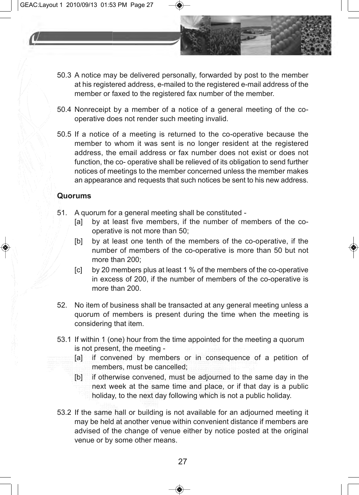- 50.3 A notice may be delivered personally, forwarded by post to the member at his registered address, e-mailed to the registered e-mail address of the member or faxed to the registered fax number of the member.
- 50.4 Nonreceipt by a member of a notice of a general meeting of the cooperative does not render such meeting invalid.
- 50.5 If a notice of a meeting is returned to the co-operative because the member to whom it was sent is no longer resident at the registered address, the email address or fax number does not exist or does not function, the co- operative shall be relieved of its obligation to send further notices of meetings to the member concerned unless the member makes an appearance and requests that such notices be sent to his new address.

#### **Quorums**

実際的な 体質の

51. A quorum for a general meeting shall be constituted -

- [a] by at least five members, if the number of members of the cooperative is not more than 50;
- [b] by at least one tenth of the members of the co-operative, if the number of members of the co-operative is more than 50 but not more than 200;
- [c] by 20 members plus at least 1 % of the members of the co-operative in excess of 200, if the number of members of the co-operative is more than 200.
- 52. No item of business shall be transacted at any general meeting unless a quorum of members is present during the time when the meeting is considering that item.
- 53.1 If within 1 (one) hour from the time appointed for the meeting a quorum is not present, the meeting in é

fa] if convened by members or in consequence of a petition of **manufactures**; must be dancelled; in the state

- for it otherwise convened, must be adjourned to the same day in the mext week at the same time and place, or if that day is a public helili holiday, to the next day following which is not a public holiday.
- 53.2 If the same hall or building is not available for an adjourned meeting it may be held at another venue within convenient distance if members are advised of the change of venue either by notice posted at the original venue or by some other means.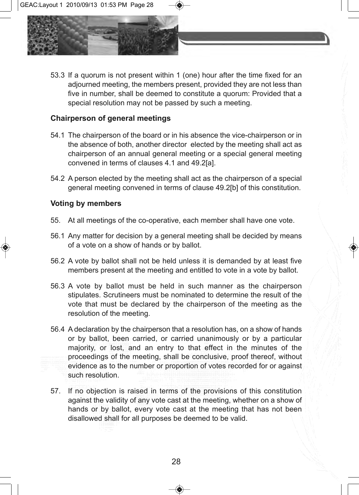53.3 If a quorum is not present within 1 (one) hour after the time fixed for an adjourned meeting, the members present, provided they are not less than five in number, shall be deemed to constitute a quorum: Provided that a special resolution may not be passed by such a meeting.

#### **Chairperson of general meetings**

54.1 The chairperson of the board or in his absence the vice-chairperson or in the absence of both, another director elected by the meeting shall act as chairperson of an annual general meeting or a special general meeting convened in terms of clauses 4.1 and 49.2[a].

计数据数据 医精神

54.2 A person elected by the meeting shall act as the chairperson of a special general meeting convened in terms of clause 49.2[b] of this constitution.

#### **Voting by members**

- 55. At all meetings of the co-operative, each member shall have one vote.
- 56.1 Any matter for decision by a general meeting shall be decided by means of a vote on a show of hands or by ballot.
- 56.2 A vote by ballot shall not be held unless it is demanded by at least five members present at the meeting and entitled to vote in a vote by ballot.
- 56.3 A vote by ballot must be held in such manner as the chairperson stipulates. Scrutineers must be nominated to determine the result of the vote that must be declared by the chairperson of the meeting as the resolution of the meeting.
- 56.4 A declaration by the chairperson that a resolution has, on a show of hands or by ballot, been carried, or carried unanimously or by a particular majority, or 1651, and an entry to that effect in the minutes of the proceedings of the meeting, shall be conclusive, proof thereof, without evidence as to the number or proportion of votes recorded for or against sfich resolution. сы макторальнайындын түзөн ынын түү<br>60 км20 Бебери 2010 ийн ал 2010 жылдан<br>65 км2) оборун аралдан түүрүлүү (1970 жылдан) g-St N
- 57. If  $\frac{1}{2}$  objection is raised in terms of the provisions of this constitution against the validity of any vote cast at the meeting, whether on a show of hands  $\alpha$  by ballot, every vote cast at the meeting that has not been disallowed shall for all purposes be deemed to be valid.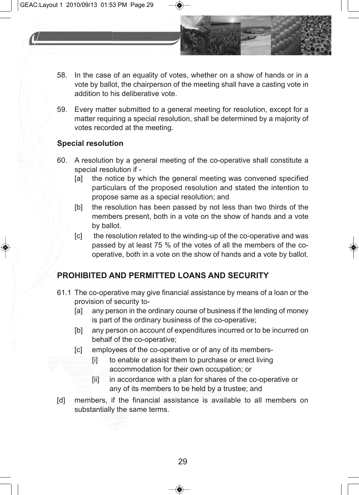- 58. In the case of an equality of votes, whether on a show of hands or in a vote by ballot, the chairperson of the meeting shall have a casting vote in addition to his deliberative vote.
- 59. Every matter submitted to a general meeting for resolution, except for a matter requiring a special resolution, shall be determined by a majority of votes recorded at the meeting.

## **Special resolution**

「「「「「「「「「「「「」」

- 60. A resolution by a general meeting of the co-operative shall constitute a special resolution if -
	- [a] the notice by which the general meeting was convened specified particulars of the proposed resolution and stated the intention to propose same as a special resolution; and
	- [b] the resolution has been passed by not less than two thirds of the members present, both in a vote on the show of hands and a vote by ballot.
	- [c] the resolution related to the winding-up of the co-operative and was passed by at least 75 % of the votes of all the members of the cooperative, both in a vote on the show of hands and a vote by ballot.

# **PROHIBITED AND PERMITTED LOANS AND SECURITY**

- 61.1 The co-operative may give financial assistance by means of a loan or the provision of security to-
	- [a] any person in the ordinary course of business if the lending of money is part of the ordinary business of the co-operative;
	- [b] any person on account of expenditures incurred or to be incurred on behalf of the co-operative;
	- [c] employees of the co-operative or of any of its members-
	- [i] to enable or assist them to purchase or erect living
	- accommodation for their own occupation; or
		- - **Example 2** in accordance with a plan for shares of the co-operative or any of its members to be held by a trustee; and
- [d] members, if the final the state is available to all members on substantially the same terms.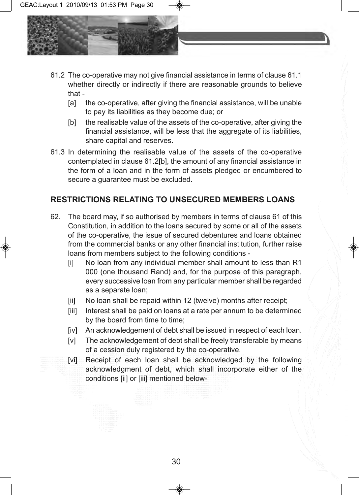- 61.2 The co-operative may not give financial assistance in terms of clause 61.1 whether directly or indirectly if there are reasonable grounds to believe that -
	- [a] the co-operative, after giving the financial assistance, will be unable to pay its liabilities as they become due; or
	- [b] the realisable value of the assets of the co-operative, after giving the financial assistance, will be less that the aggregate of its liabilities, share capital and reserves.

**大作業の意味の意思** 

61.3 In determining the realisable value of the assets of the co-operative contemplated in clause 61.2[b], the amount of any financial assistance in the form of a loan and in the form of assets pledged or encumbered to secure a guarantee must be excluded.

#### **RESTRICTIONS RELATING TO UNSECURED MEMBERS LOANS**

- 62. The board may, if so authorised by members in terms of clause 61 of this Constitution, in addition to the loans secured by some or all of the assets of the co-operative, the issue of secured debentures and loans obtained from the commercial banks or any other financial institution, further raise loans from members subject to the following conditions -
	- [i] No loan from any individual member shall amount to less than R1 000 (one thousand Rand) and, for the purpose of this paragraph, every successive loan from any particular member shall be regarded as a separate loan;
	- [ii] No loan shall be repaid within 12 (twelve) months after receipt;
	- [iii] Interest shall be paid on loans at a rate per annum to be determined by the board from time to time;
	- [iv] An acknowledgement of debt shall be issued in respect of each loan.
	- [v] The acknowledgement of debt shall be freely transferable by means of a cession duly registered by the co-operative.

Receipt of each loan shall be acknowledged by the following acknowledgment of debt, which shall incorporate either of the conditions [ii] or [iii] mentioned below-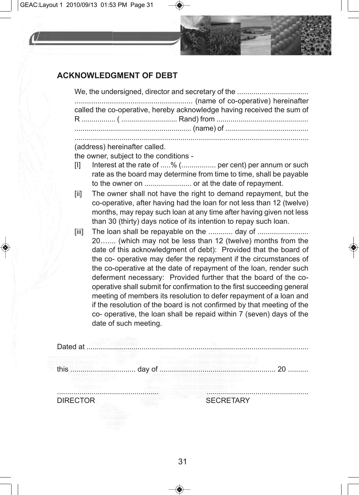実際的な 体質の



# **ACKNOWLEDGMENT OF DEBT**

We, the undersigned, director and secretary of the ................................... ......................................................... (name of co-operative) hereinafter called the co-operative, hereby acknowledge having received the sum of R ................. ( ............................ Rand) from .............................................. ........................................................... (name) of .......................................... ...................................................................................................................

(address) hereinafter called.

the owner, subject to the conditions -

- [I] Interest at the rate of .....% (.................... per cent) per annum or such rate as the board may determine from time to time, shall be payable to the owner on ....................... or at the date of repayment.
- [ii] The owner shall not have the right to demand repayment, but the co-operative, after having had the loan for not less than 12 (twelve) months, may repay such loan at any time after having given not less than 30 (thirty) days notice of its intention to repay such loan.
- [iii] The loan shall be repayable on the ............ day of ......................... 20….... (which may not be less than 12 (twelve) months from the date of this acknowledgment of debt): Provided that the board of the co- operative may defer the repayment if the circumstances of the co-operative at the date of repayment of the loan, render such deferment necessary: Provided further that the board of the cooperative shall submit for confirmation to the first succeeding general meeting of members its resolution to defer repayment of a loan and if the resolution of the board is not confirmed by that meeting of the co- operative, the loan shall be repaid within 7 (seven) days of the date of such meeting.

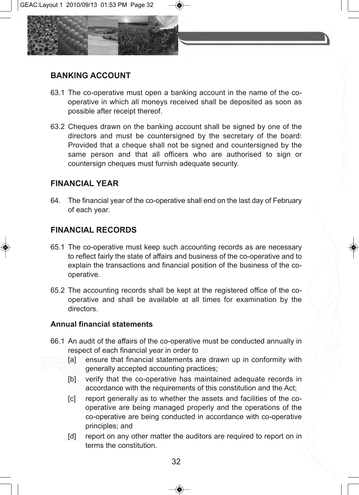## **BANKING ACCOUNT**

- 63.1 The co-operative must open a banking account in the name of the cooperative in which all moneys received shall be deposited as soon as possible after receipt thereof.
- 63.2 Cheques drawn on the banking account shall be signed by one of the directors and must be countersigned by the secretary of the board: Provided that a cheque shall not be signed and countersigned by the same person and that all officers who are authorised to sign or countersign cheques must furnish adequate security.

计单位 医精神

#### **FINANCIAL YEAR**

64. The financial year of the co-operative shall end on the last day of February of each year.

## **FINANCIAL RECORDS**

- 65.1 The co-operative must keep such accounting records as are necessary to reflect fairly the state of affairs and business of the co-operative and to explain the transactions and financial position of the business of the cooperative.
- 65.2 The accounting records shall be kept at the registered office of the cooperative and shall be available at all times for examination by the directors.

#### **Annual financial statements**

66.1 An audit of the affairs of the co-operative must be conducted annually in respect of each financial year in order to

14] ensure that financial statements are drawn up in conformity with generally accepted accounting practices; inter-

[b] verify that the co-operative has maintained adequate records in  $\mathbb{Z}$  jaccordance with the requirements of this constitution and the Act;  $\mathbb{C}$ 

[c] report generally as to whether the assets and facilities of the cooperative are being managed properly and the operations of the co-operative are being conducted in accordance with co-operative principles; and

[d] report on any other matter the auditors are required to report on in terms the constitution.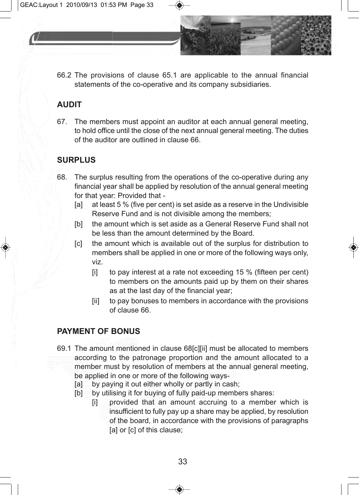66.2 The provisions of clause 65.1 are applicable to the annual financial statements of the co-operative and its company subsidiaries.

# **AUDIT**

67. The members must appoint an auditor at each annual general meeting, to hold office until the close of the next annual general meeting. The duties of the auditor are outlined in clause 66.

# **SURPLUS**

- 68. The surplus resulting from the operations of the co-operative during any financial year shall be applied by resolution of the annual general meeting for that year: Provided that -
	- [a] at least 5 % (five per cent) is set aside as a reserve in the Undivisible Reserve Fund and is not divisible among the members;
	- [b] the amount which is set aside as a General Reserve Fund shall not be less than the amount determined by the Board.
	- [c] the amount which is available out of the surplus for distribution to members shall be applied in one or more of the following ways only, viz.
		- [i] to pay interest at a rate not exceeding 15 % (fifteen per cent) to members on the amounts paid up by them on their shares as at the last day of the financial year;
		- [ii] to pay bonuses to members in accordance with the provisions of clause 66.

# **PAYMENT OF BONUS**

実際的な 体質の

69.1 The amount mentioned in clause 68[c][ii] must be allocated to members according to the patronage proportion and the amount allocated to a member must by resolution of members at the annual general meeting,

- be applied in one or more of the following ways-
- [a] by paying it out either wholly or partly in cash;
- [b] by utilising it for buying of fully paid-up members shares:
	- $[1]_{\text{refinitely}}$  provided  $\frac{1}{2}$  is a mount accruing to a member which is
		- if instruction to fully pay up a share may be applied, by resolution
			- the board, in accordance with the provisions of paragraphs [a] of this clause;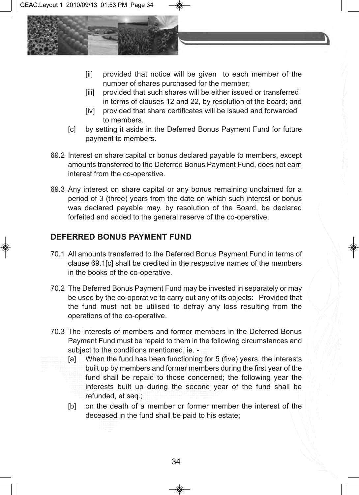- [ii] provided that notice will be given to each member of the number of shares purchased for the member;
- [iii] provided that such shares will be either issued or transferred in terms of clauses 12 and 22, by resolution of the board; and
- [iv] provided that share certificates will be issued and forwarded to members.

医自动检查法检白细胞增加

- [c] by setting it aside in the Deferred Bonus Payment Fund for future payment to members.
- 69.2 Interest on share capital or bonus declared payable to members, except amounts transferred to the Deferred Bonus Payment Fund, does not earn interest from the co-operative.
- 69.3 Any interest on share capital or any bonus remaining unclaimed for a period of 3 (three) years from the date on which such interest or bonus was declared payable may, by resolution of the Board, be declared forfeited and added to the general reserve of the co-operative.

## **DEFERRED BONUS PAYMENT FUND**

- 70.1 All amounts transferred to the Deferred Bonus Payment Fund in terms of clause 69.1[c] shall be credited in the respective names of the members in the books of the co-operative.
- 70.2 The Deferred Bonus Payment Fund may be invested in separately or may be used by the co-operative to carry out any of its objects: Provided that the fund must not be utilised to defray any loss resulting from the operations of the co-operative.
- 70.3 The interests of members and former members in the Deferred Bonus Payment Fund must be repaid to them in the following circumstances and subject to the conditions mentioned, ie. -
- [a] When the fund has been functioning for 5 (five) years, the interests **built up by members and former members during the first year of the** fund is hall be repaid to those concerned; the following year the interests built up during the second year of the fund shall be  $\mathbb{F}_2$  refunded, et se $\mathbb{F}_2$  ;  $\mathbb{F}_2$  is the  $\mathbb{F}_2$ 
	- [b] on the death of a member or former member the interest of the deceased in the fund shall be paid to his estate;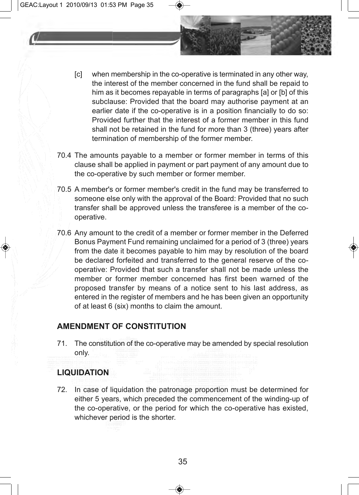- [c] when membership in the co-operative is terminated in any other way, the interest of the member concerned in the fund shall be repaid to him as it becomes repayable in terms of paragraphs [a] or [b] of this subclause: Provided that the board may authorise payment at an earlier date if the co-operative is in a position financially to do so: Provided further that the interest of a former member in this fund shall not be retained in the fund for more than 3 (three) years after termination of membership of the former member.
- 70.4 The amounts payable to a member or former member in terms of this clause shall be applied in payment or part payment of any amount due to the co-operative by such member or former member.
- 70.5 A member's or former member's credit in the fund may be transferred to someone else only with the approval of the Board: Provided that no such transfer shall be approved unless the transferee is a member of the cooperative.
	- 0.6 Any amount to the credit of a member or former member in the Deferred Bonus Payment Fund remaining unclaimed for a period of 3 (three) years from the date it becomes payable to him may by resolution of the board be declared forfeited and transferred to the general reserve of the cooperative: Provided that such a transfer shall not be made unless the member or former member concerned has first been warned of the proposed transfer by means of a notice sent to his last address, as entered in the register of members and he has been given an opportunity of at least 6 (six) months to claim the amount.

#### **AMENDMENT OF CONSTITUTION**

実際には 体質し

71. The constitution of the co-operative may be amended by special resolution  $\frac{1}{2}$ only.

| -----<br>.                                                                                                                                                                                                                               | hone revolta                  |                             | nt deucaug∿egeadadendicioni                                                 |
|------------------------------------------------------------------------------------------------------------------------------------------------------------------------------------------------------------------------------------------|-------------------------------|-----------------------------|-----------------------------------------------------------------------------|
| connecerporates person against                                                                                                                                                                                                           | teen of the product           |                             | 3165280888836988883333333333355686368                                       |
| the main construction of the construction of the construction of the construction of the con-                                                                                                                                            | the Monterstone and           |                             | the material communication of the communication of the con-                 |
| and the contract of the contract of the contract of the contract of the contract of the contract of the contract of the contract of the contract of the contract of the contract of the contract of the contract of the contra<br>-- ' - | <b>ISSUED TO AN</b><br>الشمرة |                             | the Canadist Contaminant managassa (2012) compose called                    |
| --<br>רי והנכביל:ונכרותיהמכססיפתם                                                                                                                                                                                                        | taeth Bac                     |                             | interacted process pronunction companies in the forest perfo                |
|                                                                                                                                                                                                                                          | $1.11 - 1.1$                  |                             | to a considerative consideration of the financial consideration of the<br>. |
| темплеката с Плате<br><b>ALLIE INTERN</b>                                                                                                                                                                                                |                               |                             | одовно по село на населението на неговите положително село се село на       |
| œ                                                                                                                                                                                                                                        |                               | 272.                        | ::::secteddctecccanaphy\canapessitist;<br>505                               |
| <b>Allen</b>                                                                                                                                                                                                                             | <b>ALC 8 DO 8 13</b>          |                             | ा न की जाएगी को साथ का साथ किया था। साथ साथ का साथ को जान करने के साथ प     |
|                                                                                                                                                                                                                                          |                               |                             | SEDS 9,3111::::CLESE@2G3SEEBHOOGBOOGBOOGBOO15225.t.                         |
|                                                                                                                                                                                                                                          |                               | ,,,,,,,,                    | יבנר כר כדם מהעשט פר מסטמטת פרופר פתוח סרבר                                 |
| at 1 Bat to 1 bactery of the community that                                                                                                                                                                                              |                               | <b><i>BUBLER LEED </i></b>  |                                                                             |
| 法法律法律法法律的 医大                                                                                                                                                                                                                             |                               | المتاريخ والمالية والمعاونة | tt: betalliteraugustannen stuttet in                                        |
| 计自动控制 医单面 化多元医多元元素                                                                                                                                                                                                                       | सहस्रक                        | 1,27,270,71                 | 了,一口吃吃饭,好吃,就吃的肉肉就是要吃的肉肉肉肉,这么不一个小。                                           |
|                                                                                                                                                                                                                                          |                               |                             | process the proposed committees that is a                                   |

72. In case of liquidation the patronage proportion must be determined for either 5 years, which preced the commencement of the winding-up of the co-operative, or the period for which the co-operative has existed, whichever period is the shorter.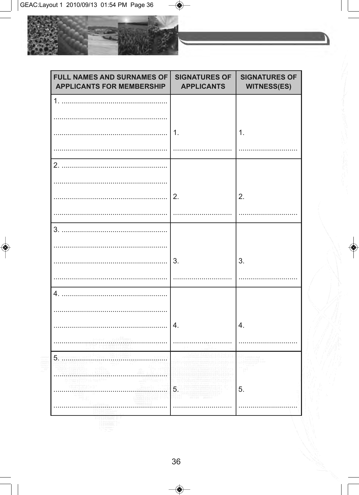

计数据 经数据

i.<br>Viited

36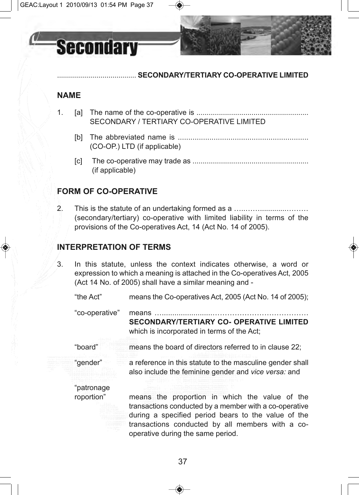# **Secondary**

## ........................................ **SECONDARY/TERTIARY CO-OPERATIVE LIMITED**

# **NAME**

- 1. [a] The name of the co-operative is ....................................................... SECONDARY / TERTIARY CO-OPERATIVE LIMITED
	- [b] The abbreviated name is .............................................................. (CO-OP.) LTD (if applicable)
	- [c] The co-operative may trade as ......................................................... (if applicable)

# **FORM OF CO-OPERATIVE**

This is the statute of an undertaking formed as a ….............................. (secondary/tertiary) co-operative with limited liability in terms of the provisions of the Co-operatives Act, 14 (Act No. 14 of 2005).

# **INTERPRETATION OF TERMS**

In this statute, unless the context indicates otherwise, a word or expression to which a meaning is attached in the Co-operatives Act, 2005 (Act 14 No. of 2005) shall have a similar meaning and -

"the Act" means the Co-operatives Act, 2005 (Act No. 14 of 2005);

"co-operative" means …........................…………………………………

"patronage

- 「「「「「「「「「「「」」「「」」「「」」「「」」「「」」「」」「」

**SECONDARY/TERTIARY CO- OPERATIVE LIMITED** which is incorporated in terms of the Act;

means the board of directors referred to in clause 22; ing is unulled<br>www.comple.com ل المستقل المستقل المستقل المستقل .<br>- http://www.adams.com/adams/2003/2003/07/2003/07/2003/2012

frender" a reference in this statute to the masculine gender shall also include the feminine gender and *vice versa:* and

 $\frac{1}{2}$  reportion" means the proportion in which the value of the  $\frac{1}{2}$ trans at the conducted by a member with a co-operative during a specified period bears to the value of the transactions conducted by all members with a cooperative during the same period.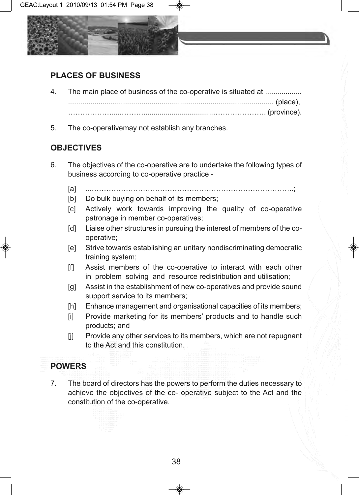# **PLACES OF BUSINESS**

4. The main place of business of the co-operative is situated at ................. ..................................................................................................... (place), ……………….....………...................................…………………. (province). **1990年6月1日 10月1日 10月1日** 

5. The co-operativemay not establish any branches.

# **OBJECTIVES**

**POWERS**

- 6. The objectives of the co-operative are to undertake the following types of business according to co-operative practice -
	- [a] ...………………………………………………………………………..;
	- [b] Do bulk buying on behalf of its members;
	- [c] Actively work towards improving the quality of co-operative patronage in member co-operatives;
	- [d] Liaise other structures in pursuing the interest of members of the cooperative;
	- [e] Strive towards establishing an unitary nondiscriminating democratic training system;
	- [f] Assist members of the co-operative to interact with each other in problem solving and resource redistribution and utilisation;
	- [g] Assist in the establishment of new co-operatives and provide sound support service to its members;
	- [h] Enhance management and organisational capacities of its members;
	- [i] Provide marketing for its members' products and to handle such products; and
	- [j] Provide any other services to its members, which are not repugnant to the **Act and this constitution.**

7. The board of directors has the powers to perform the duties necessary to achieve the objectives of the co- operative subject to the Act and the constitution of the commerciative.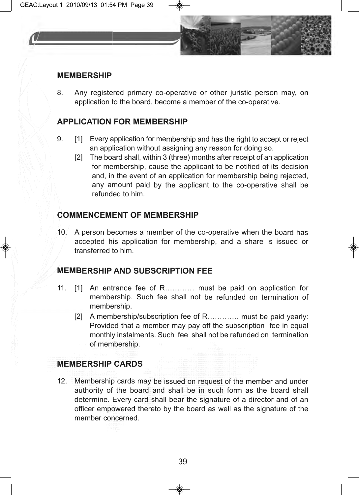# **MEMBERSHIP**

8. Any registered primary co-operative or other juristic person may, on application to the board, become a member of the co-operative.

# **APPLICATION FOR MEMBERSHIP**

- 9. [1] Every application for membership and has the right to accept or reject an application without assigning any reason for doing so.
	- [2] The board shall, within 3 (three) months after receipt of an application for membership, cause the applicant to be notified of its decision and, in the event of an application for membership being rejected, any amount paid by the applicant to the co-operative shall be refunded to him.

# **COMMENCEMENT OF MEMBERSHIP**

A person becomes a member of the co-operative when the board has accepted his application for membership, and a share is issued or transferred to him.

# **MEMBERSHIP AND SUBSCRIPTION FEE**

- 11. [1] An entrance fee of R………… must be paid on application for membership. Such fee shall not be refunded on termination of membership.
	- [2] A membership/subscription fee of R………….. must be paid yearly: Provided that a member may pay off the subscription fee in equal monthly instalments. Such fee shall not be refunded on termination of membership.

#### and completed to the complete <u>ige</u>da<u>an</u> **MEMBERSHIP CARDS**

ANG BILITI AT ALITERAL

「「「「「「「「「「「「」」

12. Membership cards may be issued on request of the member and under authority of the board and shall be in such form as the board shall determine. Every card shall bear the signature of a director and of an officer empowered thereto by the board as well as the signature of the member concerned.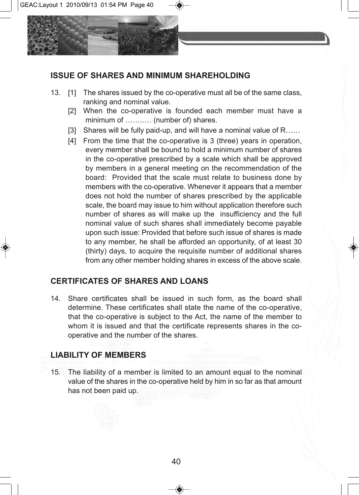## **ISSUE OF SHARES AND MINIMUM SHAREHOLDING**

- 13. [1] The shares issued by the co-operative must all be of the same class, ranking and nominal value.
	- [2] When the co-operative is founded each member must have a minimum of ........... (number of) shares.
	- [3] Shares will be fully paid-up, and will have a nominal value of R……

计数据 化硫酸盐

[4] From the time that the co-operative is 3 (three) years in operation, every member shall be bound to hold a minimum number of shares in the co-operative prescribed by a scale which shall be approved by members in a general meeting on the recommendation of the board: Provided that the scale must relate to business done by members with the co-operative. Whenever it appears that a member does not hold the number of shares prescribed by the applicable scale, the board may issue to him without application therefore such number of shares as will make up the insufficiency and the full nominal value of such shares shall immediately become payable upon such issue: Provided that before such issue of shares is made to any member, he shall be afforded an opportunity, of at least 30 (thirty) days, to acquire the requisite number of additional shares from any other member holding shares in excess of the above scale.

#### **CERTIFICATES OF SHARES AND LOANS**

14. Share certificates shall be issued in such form, as the board shall determine. These certificates shall state the name of the co-operative, that the co-operative is subject to the Act, the name of the member to whom it is issued and that the certificate represents shares in the cooperative and the number of the shares.

ETERRET. REGONALDER **LIABILITY OF MEMBERS** 15. The liability of a member is limited to an amount equal to the nominal value of the shares in the co-operative held by him in so far as that amount has hot been paid up. That Wije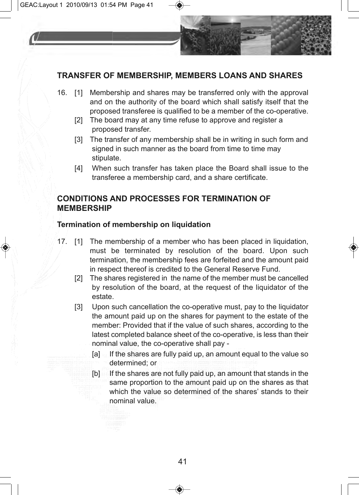実際に 体に

# **TRANSFER OF MEMBERSHIP, MEMBERS LOANS AND SHARES**

- 16. [1] Membership and shares may be transferred only with the approval and on the authority of the board which shall satisfy itself that the proposed transferee is qualified to be a member of the co-operative.
	- [2] The board may at any time refuse to approve and register a proposed transfer.
	- [3] The transfer of any membership shall be in writing in such form and signed in such manner as the board from time to time may stipulate.
	- [4] When such transfer has taken place the Board shall issue to the transferee a membership card, and a share certificate.

# **CONDITIONS AND PROCESSES FOR TERMINATION OF MEMBERSHIP**

## **Termination of membership on liquidation**

- [1] The membership of a member who has been placed in liquidation, must be terminated by resolution of the board. Upon such termination, the membership fees are forfeited and the amount paid in respect thereof is credited to the General Reserve Fund.
- [2] The shares registered in the name of the member must be cancelled by resolution of the board, at the request of the liquidator of the estate.
- [3] Upon such cancellation the co-operative must, pay to the liquidator the amount paid up on the shares for payment to the estate of the member: Provided that if the value of such shares, according to the latest completed balance sheet of the co-operative, is less than their nominal value, the co-operative shall pay -

[a] If the shares are fully paid up, an amount equal to the value so determined; or

 $\lim_{\epsilon\to 0}$  is if the shares are not fully paid up, an amount that stands in the same proportion to the amount paid up on the shares as that which the value so determined of the shares' stands to their nominal value.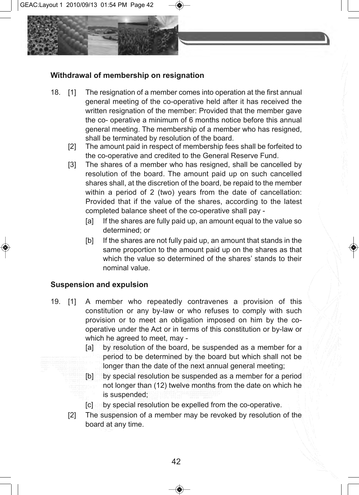### **Withdrawal of membership on resignation**

- 18. [1] The resignation of a member comes into operation at the first annual general meeting of the co-operative held after it has received the written resignation of the member: Provided that the member gave the co- operative a minimum of 6 months notice before this annual general meeting. The membership of a member who has resigned, shall be terminated by resolution of the board.
	- [2] The amount paid in respect of membership fees shall be forfeited to the co-operative and credited to the General Reserve Fund.

- [3] The shares of a member who has resigned, shall be cancelled by resolution of the board. The amount paid up on such cancelled shares shall, at the discretion of the board, be repaid to the member within a period of 2 (two) years from the date of cancellation: Provided that if the value of the shares, according to the latest completed balance sheet of the co-operative shall pay -
	- [a] If the shares are fully paid up, an amount equal to the value so determined; or
	- [b] If the shares are not fully paid up, an amount that stands in the same proportion to the amount paid up on the shares as that which the value so determined of the shares' stands to their nominal value.

#### **Suspension and expulsion**

19. [1] A member who repeatedly contravenes a provision of this constitution or any by-law or who refuses to comply with such provision or to meet an obligation imposed on him by the cooperative under the Act or in terms of this constitution or by-law or which he agreed to meet, may -

> [a] by resolution of the board, be suspended as a member for a period to be determined by the board but which shall not be longer than the date of the next annual general meeting;

by special resolution be suspended as a member for a period not longer than (12) twelve months from the date on which he is suspended; and

[c]  $c$ ] special resolution be expelled from the co-operative.

[2] The suspension of a member may be revoked by resolution of the board at any time.

42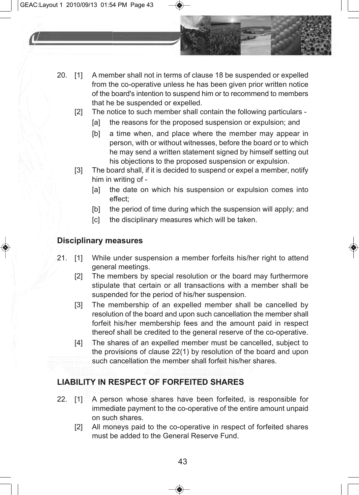

- [2] The notice to such member shall contain the following particulars -
	- [a] the reasons for the proposed suspension or expulsion; and
	- [b] a time when, and place where the member may appear in person, with or without witnesses, before the board or to which he may send a written statement signed by himself setting out his objections to the proposed suspension or expulsion.
- [3] The board shall, if it is decided to suspend or expel a member, notify him in writing of -
	- [a] the date on which his suspension or expulsion comes into effect;
	- [b] the period of time during which the suspension will apply; and
	- [c] the disciplinary measures which will be taken.

## **Disciplinary measures**

「「「「「「「「「「「「」」」

- [1] While under suspension a member forfeits his/her right to attend general meetings.
	- [2] The members by special resolution or the board may furthermore stipulate that certain or all transactions with a member shall be suspended for the period of his/her suspension.
	- [3] The membership of an expelled member shall be cancelled by resolution of the board and upon such cancellation the member shall forfeit his/her membership fees and the amount paid in respect thereof shall be credited to the general reserve of the co-operative.
	- [4] The shares of an expelled member must be cancelled, subject to the provisions of clause 22(1) by resolution of the board and upon

such cancellation the member shall forfeit his/her shares.

4396833333333.LEXXIII.

**LIABILITY IN RESPECT OF FORFEITED SHARES**

- 
- 22. [1]<sup>[11]</sup> A person whose shave been forfeited, is responsible for immediate payment to the co-operative of the entire amount unpaid on such shares.
	- [2] All moneys paid to the co-operative in respect of forfeited shares must be added to the General Reserve Fund.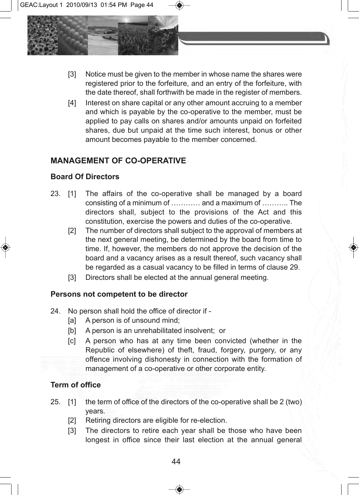- [3] Notice must be given to the member in whose name the shares were registered prior to the forfeiture, and an entry of the forfeiture, with the date thereof, shall forthwith be made in the register of members.
- [4] Interest on share capital or any other amount accruing to a member and which is payable by the co-operative to the member, must be applied to pay calls on shares and/or amounts unpaid on forfeited shares, due but unpaid at the time such interest, bonus or other amount becomes payable to the member concerned.

医单子宫 医静脉 医静脉

## **MANAGEMENT OF CO-OPERATIVE**

#### **Board Of Directors**

- 23. [1] The affairs of the co-operative shall be managed by a board consisting of a minimum of ………… and a maximum of ……….. The directors shall, subject to the provisions of the Act and this constitution, exercise the powers and duties of the co-operative.
	- [2] The number of directors shall subject to the approval of members at the next general meeting, be determined by the board from time to time. If, however, the members do not approve the decision of the board and a vacancy arises as a result thereof, such vacancy shall be regarded as a casual vacancy to be filled in terms of clause 29.
	- [3] Directors shall be elected at the annual general meeting.

#### **Persons not competent to be director**

- 24. No person shall hold the office of director if
	- [a] A person is of unsound mind;
	- [b] A person is an unrehabilitated insolvent; or
	- $\lceil c \rceil$  A person who has at any time been convicted (whether in the Republic of stewhere) of theft, fraud, forgery, purgery, or any

offence involving dishonesty in connection with the formation of management of a co-operative or other corporate entity.

| attes<br>273-32-1-122562500256E620098050503                                                                                                                             |
|-------------------------------------------------------------------------------------------------------------------------------------------------------------------------|
| the bank of the first and the concentration of the property of the concentration                                                                                        |
| է», այցենվելաց»ընտացա<br>スプラブ・シー<br>rs isto rrhnogenemme<br><b>DR7D</b>                                                                                                 |
| the contract of the company of the company's<br>                                                                                                                        |
| Share with the Charles and the best and the control of the control of the control of the control of the control of<br>Lt.<br><u>i.i.rh.:.rhrnunaanapos</u><br>ana sa sa |
| the coupling properties to the matched Wardings<br><b>Barbel Line Co.</b>                                                                                               |
| innerialia a 4 tota : Antiotizit, Saanti Loo Seusipinionnia<br><b>ILLECEUDO ADODUDI</b>                                                                                 |
| anning inaccession of concentration<br>1:500335500015                                                                                                                   |
|                                                                                                                                                                         |

- 25.  $\left[1\right]$  the term of office of the directors of the co-operative shall be 2 (two) years.
	- [2] Retiting the ctors are eligible for re-election.
	- [3] The directors to retire each year shall be those who have been longest in office since their last election at the annual general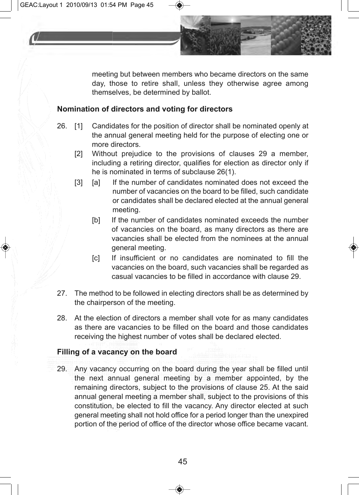meeting but between members who became directors on the same day, those to retire shall, unless they otherwise agree among themselves, be determined by ballot.

#### **Nomination of directors and voting for directors**

- 26. [1] Candidates for the position of director shall be nominated openly at the annual general meeting held for the purpose of electing one or more directors.
	- [2] Without prejudice to the provisions of clauses 29 a member, including a retiring director, qualifies for election as director only if he is nominated in terms of subclause 26(1).
	- [3] [a] If the number of candidates nominated does not exceed the number of vacancies on the board to be filled, such candidate or candidates shall be declared elected at the annual general meeting.
		- [b] If the number of candidates nominated exceeds the number of vacancies on the board, as many directors as there are vacancies shall be elected from the nominees at the annual general meeting.
		- [c] If insufficient or no candidates are nominated to fill the vacancies on the board, such vacancies shall be regarded as casual vacancies to be filled in accordance with clause 29.
- 27. The method to be followed in electing directors shall be as determined by the chairperson of the meeting.
- 28. At the election of directors a member shall vote for as many candidates as there are vacancies to be filled on the board and those candidates receiving the highest number of votes shall be declared elected.

# **Filling of a vacancy on the board**

実際に 体に

gggee er **Barnet** 

Any vacancy occurring on the board during the year shall be filled until the next annual general meeting by a member appointed, by the remaining directors, subject to the provisions of clause 25. At the said annual general meeting a member shall, subject to the provisions of this constitution. be elected to fill the vacancy. Any director elected at such general meeting shall not hold office for a period longer than the unexpired portion of the period of office of the director whose office became vacant.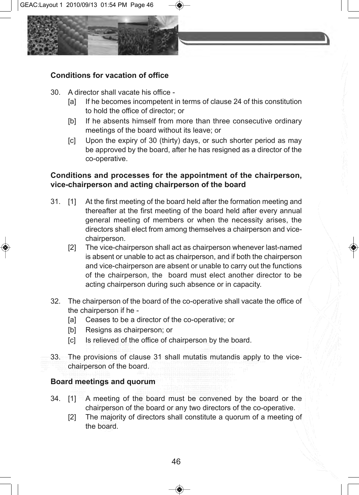### **Conditions for vacation of office**

- 30. A director shall vacate his office
	- [a] If he becomes incompetent in terms of clause 24 of this constitution to hold the office of director; or
	- [b] If he absents himself from more than three consecutive ordinary meetings of the board without its leave; or

[c] Upon the expiry of 30 (thirty) days, or such shorter period as may be approved by the board, after he has resigned as a director of the co-operative.

## **Conditions and processes for the appointment of the chairperson, vice-chairperson and acting chairperson of the board**

- 31. [1] At the first meeting of the board held after the formation meeting and thereafter at the first meeting of the board held after every annual general meeting of members or when the necessity arises, the directors shall elect from among themselves a chairperson and vicechairperson.
	- [2] The vice-chairperson shall act as chairperson whenever last-named is absent or unable to act as chairperson, and if both the chairperson and vice-chairperson are absent or unable to carry out the functions of the chairperson, the board must elect another director to be acting chairperson during such absence or in capacity.
- 32. The chairperson of the board of the co-operative shall vacate the office of the chairperson if he -
	- [a] Ceases to be a director of the co-operative; or
	- [b] Resigns as chairperson; or
	- $[c]$  Is relieved of the office of chairperson by the board.

ा The provisio阳 'bill' clause 31 shall mutatis mutandis apply to the vice-<br>क्यों को प्रदेश के प्रोफ्रेंट के साथ के साथ कार्य कार्य कार्य कार्य कार्य कार्य कार्य कार्य कार्य कार्य कार्य **chairperson of the board.** 

**BERSHELL-LEELER Board meetings and quorum** " ENG MOST LUBURGO GROUND I 1150 LUI 11 -<br>LUES, PRELECTORO GROUND I 1250 - 11 -

- 34. [1] A meeting of the board must be convened by the board or the chairperson of the board or any two directors of the co-operative.
	- [2] The majority of directors shall constitute a quorum of a meeting of the board.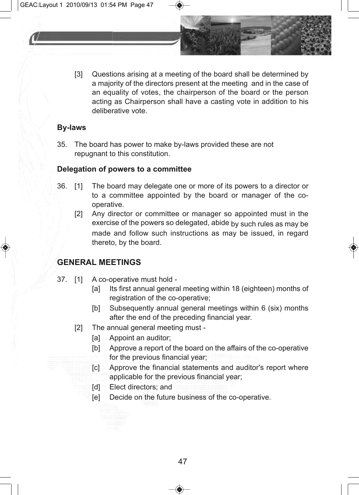[3] Questions arising at a meeting of the board shall be determined by a majority of the directors present at the meeting and in the case of an equality of votes, the chairperson of the board or the person acting as Chairperson shall have a casting vote in addition to his deliberative vote.

### **By-laws**

中央教育 法律的

35. The board has power to make by-laws provided these are not repugnant to this constitution.

## **Delegation of powers to a committee**

- 36. [1] The board may delegate one or more of its powers to a director or to a committee appointed by the board or manager of the cooperative.
	- [2] Any director or committee or manager so appointed must in the exercise of the powers so delegated, abide by such rules as may be made and follow such instructions as may be issued, in regard thereto, by the board.

# **GENERAL MEETINGS**

- 37. [1] A co-operative must hold
	- [a] Its first annual general meeting within 18 (eighteen) months of registration of the co-operative;
	- [b] Subsequently annual general meetings within 6 (six) months after the end of the preceding financial year.
	- [2] The annual general meeting must
		- [a] Appoint an auditor;
		- Approve a report of the board on the affairs of the co-operative for the previous financial year;
	- [c] .... Approve the financial statements and auditor's report where applicable for the previous financial year;
		- Elect directors; and interesting the
		-
		- Decide on the future business of the co-operative.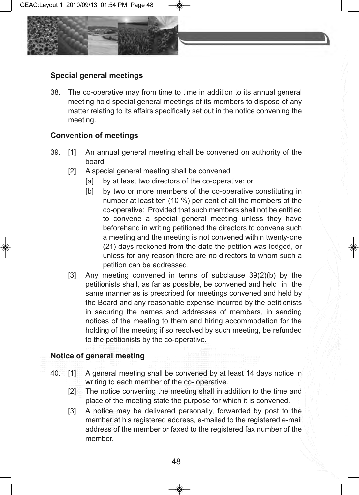#### **Special general meetings**

38. The co-operative may from time to time in addition to its annual general meeting hold special general meetings of its members to dispose of any matter relating to its affairs specifically set out in the notice convening the meeting.

#### **Convention of meetings**

- 39. [1] An annual general meeting shall be convened on authority of the board.
	- [2] A special general meeting shall be convened
		- [a] by at least two directors of the co-operative; or
		- [b] by two or more members of the co-operative constituting in number at least ten (10 %) per cent of all the members of the co-operative: Provided that such members shall not be entitled to convene a special general meeting unless they have beforehand in writing petitioned the directors to convene such a meeting and the meeting is not convened within twenty-one (21) days reckoned from the date the petition was lodged, or unless for any reason there are no directors to whom such a petition can be addressed.

[3] Any meeting convened in terms of subclause 39(2)(b) by the petitionists shall, as far as possible, be convened and held in the same manner as is prescribed for meetings convened and held by the Board and any reasonable expense incurred by the petitionists in securing the names and addresses of members, in sending notices of the meeting to them and hiring accommodation for the holding of the meeting if so resolved by such meeting, be refunded to the petitionists by the co-operative.

# **Notice of general meeting**

- ....<br>A general meeting shall be convened by at least 14 days notice in writing to each member of the co- operative.
	- [2] The notice convening the meeting strall in addition to the time and place of the method state the purpose for which it is convened.
	- [3] A notice may be delivered personally, forwarded by post to the member at his registered address, e-mailed to the registered e-mail address of the member or faxed to the registered fax number of the member.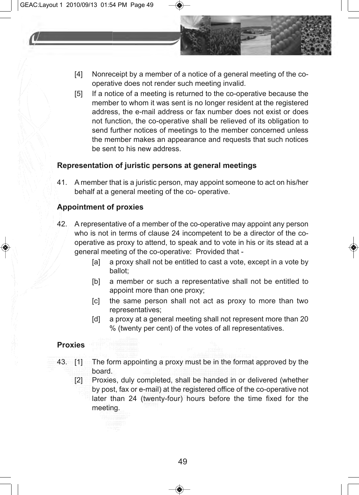- [4] Nonreceipt by a member of a notice of a general meeting of the cooperative does not render such meeting invalid.
- [5] If a notice of a meeting is returned to the co-operative because the member to whom it was sent is no longer resident at the registered address, the e-mail address or fax number does not exist or does not function, the co-operative shall be relieved of its obligation to send further notices of meetings to the member concerned unless the member makes an appearance and requests that such notices be sent to his new address.

#### **Representation of juristic persons at general meetings**

41. A member that is a juristic person, may appoint someone to act on his/her behalf at a general meeting of the co- operative.

#### **Appointment of proxies**

「「「「「「「「「「「「」」」

42. A representative of a member of the co-operative may appoint any person who is not in terms of clause 24 incompetent to be a director of the cooperative as proxy to attend, to speak and to vote in his or its stead at a general meeting of the co-operative: Provided that -

- [a] a proxy shall not be entitled to cast a vote, except in a vote by ballot;
- [b] a member or such a representative shall not be entitled to appoint more than one proxy;
- [c] the same person shall not act as proxy to more than two representatives;
- [d] a proxy at a general meeting shall not represent more than 20 % (twenty per cent) of the votes of all representatives.

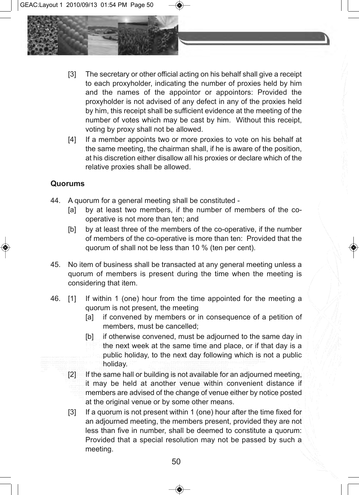[3] The secretary or other official acting on his behalf shall give a receipt to each proxyholder, indicating the number of proxies held by him and the names of the appointor or appointors: Provided the proxyholder is not advised of any defect in any of the proxies held by him, this receipt shall be sufficient evidence at the meeting of the number of votes which may be cast by him. Without this receipt, voting by proxy shall not be allowed.

医单位 医静脉

[4] If a member appoints two or more proxies to vote on his behalf at the same meeting, the chairman shall, if he is aware of the position, at his discretion either disallow all his proxies or declare which of the relative proxies shall be allowed.

#### **Quorums**

- 44. A quorum for a general meeting shall be constituted
	- [a] by at least two members, if the number of members of the cooperative is not more than ten; and
	- [b] by at least three of the members of the co-operative, if the number of members of the co-operative is more than ten: Provided that the quorum of shall not be less than 10 % (ten per cent).
- 45. No item of business shall be transacted at any general meeting unless a quorum of members is present during the time when the meeting is considering that item.
- 46. [1] If within 1 (one) hour from the time appointed for the meeting a quorum is not present, the meeting
	- [a] if convened by members or in consequence of a petition of members, must be cancelled;
	- [b] if otherwise convened, must be adjourned to the same day in
	- **the next week at the same time and place, or if that day is a** 
		- public holiday, to the next day following which is not a public
	- holiday. if the same hall or building is not available for an adjourned meeting, it may be held at another venue within convenient distance if members are advised of the change of verile either by notice posted at the original venue or by some other means.
		- [3] If a quot is not present within 1 (one) hour after the time fixed for an adjourned meeting, the members present, provided they are not less than five in number, shall be deemed to constitute a quorum: Provided that a special resolution may not be passed by such a meeting.

50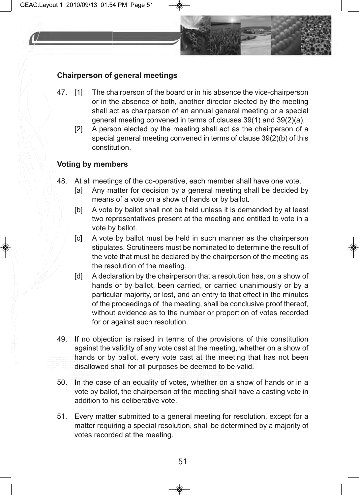

# **Chairperson of general meetings**

- 47. [1] The chairperson of the board or in his absence the vice-chairperson or in the absence of both, another director elected by the meeting shall act as chairperson of an annual general meeting or a special general meeting convened in terms of clauses 39(1) and 39(2)(a).
	- [2] A person elected by the meeting shall act as the chairperson of a special general meeting convened in terms of clause 39(2)(b) of this constitution.

# **Voting by members**

「「「「「「「「「「「「」」

48. At all meetings of the co-operative, each member shall have one vote.

- [a] Any matter for decision by a general meeting shall be decided by means of a vote on a show of hands or by ballot.
- [b] A vote by ballot shall not be held unless it is demanded by at least two representatives present at the meeting and entitled to vote in a vote by ballot.
- [c] A vote by ballot must be held in such manner as the chairperson stipulates. Scrutineers must be nominated to determine the result of the vote that must be declared by the chairperson of the meeting as the resolution of the meeting.
- [d] A declaration by the chairperson that a resolution has, on a show of hands or by ballot, been carried, or carried unanimously or by a particular majority, or lost, and an entry to that effect in the minutes of the proceedings of the meeting, shall be conclusive proof thereof, without evidence as to the number or proportion of votes recorded for or against such resolution.
- 49. If no objection is reason in terms of the provisions of this constitution against the validity of any vote cast at the meeting, whether on a show of hands or by ballot, every vote cast at the meeting that has not been disallowed shall for all purposes be deemed to be valid.

111183111121111111 

- 50. In the case of an equality of votes, whether on a show of hands or in a vote by ballot, the chairperson of the meeting shall have a casting vote in addition to his deliberative vote.
- E POSSE 51. Every matter submitted to a general meeting for resolution, except for a matter requiring a special resolution, shall be determined by a majority of votes recorded at the meeting.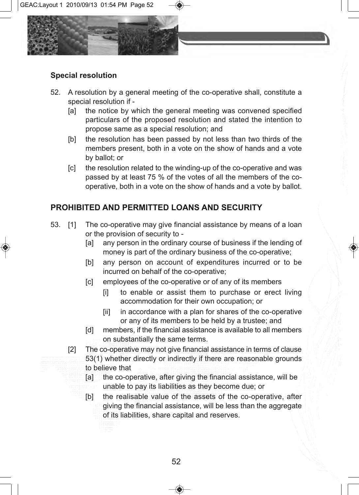## **Special resolution**

- 52. A resolution by a general meeting of the co-operative shall, constitute a special resolution if -
	- [a] the notice by which the general meeting was convened specified particulars of the proposed resolution and stated the intention to propose same as a special resolution; and

- [b] the resolution has been passed by not less than two thirds of the members present, both in a vote on the show of hands and a vote by ballot; or
- [c] the resolution related to the winding-up of the co-operative and was passed by at least 75 % of the votes of all the members of the cooperative, both in a vote on the show of hands and a vote by ballot.

# **PROHIBITED AND PERMITTED LOANS AND SECURITY**

- 53. [1] The co-operative may give financial assistance by means of a loan or the provision of security to -
	- [a] any person in the ordinary course of business if the lending of money is part of the ordinary business of the co-operative;
	- [b] any person on account of expenditures incurred or to be incurred on behalf of the co-operative;
	- [c] employees of the co-operative or of any of its members
		- [i] to enable or assist them to purchase or erect living accommodation for their own occupation; or
		- [ii] in accordance with a plan for shares of the co-operative or any of its members to be held by a trustee; and
	- [d] members, if the financial assistance is available to all members on substantially the same terms.

[2] The co-operative may not give financial assistance in terms of clause 53(1) whether directly or indirectly if there are reasonable grounds i⊞to belie∨e that

> [a] the co-operative, after giving the financial assistance, will be unable to pay its liabilities as they become due; or

the realisable value of the assets of the co-operative, after e inquiving the financial assistance, will be less than the aggregate of its liabilities, share capital and reserves.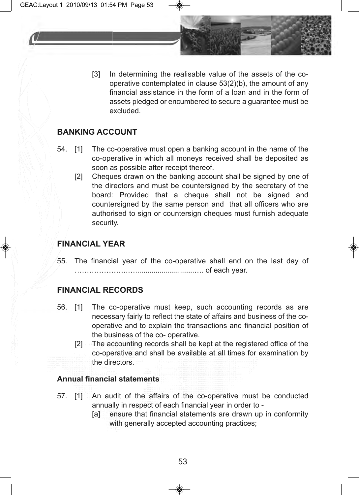[3] In determining the realisable value of the assets of the cooperative contemplated in clause 53(2)(b), the amount of any financial assistance in the form of a loan and in the form of assets pledged or encumbered to secure a guarantee must be excluded.

# **BANKING ACCOUNT**

- 54. [1] The co-operative must open a banking account in the name of the co-operative in which all moneys received shall be deposited as soon as possible after receipt thereof.
	- [2] Cheques drawn on the banking account shall be signed by one of the directors and must be countersigned by the secretary of the board: Provided that a cheque shall not be signed and countersigned by the same person and that all officers who are authorised to sign or countersign cheques must furnish adequate security.

# **FINANCIAL YEAR**

55. The financial year of the co-operative shall end on the last day of ………………….….............................…. of each year.

# **FINANCIAL RECORDS**

- 56. [1] The co-operative must keep, such accounting records as are necessary fairly to reflect the state of affairs and business of the cooperative and to explain the transactions and financial position of the business of the co- operative.
	- [2] The accounting records shall be kept at the registered office of the co-operative and shall be available at all times for examination by
- the directors.
- 1995 1996 1997 1998 1998 1998 1998 1998 1998 1998 1998 1998 1998 1998 1998 1998<br>1999 1998 1998 1998 1999 1999 1999 1999 1999 1999 1999 1999 1999 1999 1999 1999
- **Annual financial statements** te transmission and incorporate in the first of the component of the component of the component of the component of the component of the component of the component of the component of the component of the component of the
	-

「「「「「「「「「「「「」」

- $57.$  [1] An audit of the analysis of the co-operative must be conducted annually in respect of each financial year in order to -
	- [a] ensure that financial statements are drawn up in conformity with generally accepted accounting practices;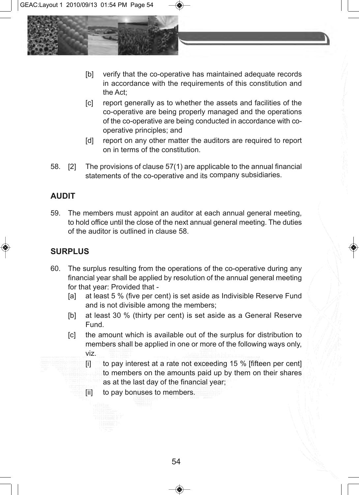- [b] verify that the co-operative has maintained adequate records in accordance with the requirements of this constitution and the Act;
- [c] report generally as to whether the assets and facilities of the co-operative are being properly managed and the operations of the co-operative are being conducted in accordance with cooperative principles; and

计全等级 医髂骨

- [d] report on any other matter the auditors are required to report on in terms of the constitution.
- 58. [2] The provisions of clause 57(1) are applicable to the annual financial statements of the co-operative and its company subsidiaries.

## **AUDIT**

59. The members must appoint an auditor at each annual general meeting, to hold office until the close of the next annual general meeting. The duties of the auditor is outlined in clause 58.

# **SURPLUS**

- 60. The surplus resulting from the operations of the co-operative during any financial year shall be applied by resolution of the annual general meeting for that year: Provided that -
	- [a] at least 5 % (five per cent) is set aside as Indivisible Reserve Fund and is not divisible among the members;
	- [b] at least 30 % (thirty per cent) is set aside as a General Reserve Fund.
	- [c] the amount which is available out of the surplus for distribution to members shall be applied in one or more of the following ways only, viz. Berthuaus

iil to pay interest at a rate not exceeding 15 % fifteen per cent] the members on the amounts paid up by them on their shares as at the last day of the financial year; to pay bonuses to members.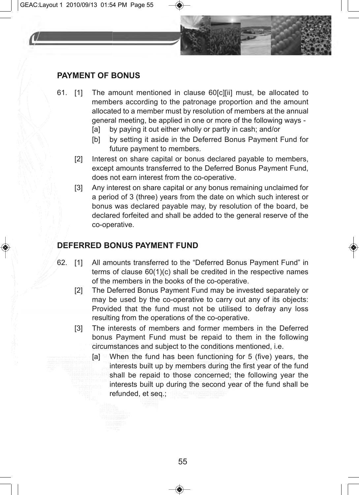# **PAYMENT OF BONUS**

- 61. [1] The amount mentioned in clause 60[c][ii] must, be allocated to members according to the patronage proportion and the amount allocated to a member must by resolution of members at the annual general meeting, be applied in one or more of the following ways -
	- [a] by paying it out either wholly or partly in cash; and/or
	- [b] by setting it aside in the Deferred Bonus Payment Fund for future payment to members.
	- [2] Interest on share capital or bonus declared payable to members, except amounts transferred to the Deferred Bonus Payment Fund, does not earn interest from the co-operative.
	- [3] Any interest on share capital or any bonus remaining unclaimed for a period of 3 (three) years from the date on which such interest or bonus was declared payable may, by resolution of the board, be declared forfeited and shall be added to the general reserve of the co-operative.

# **DEFERRED BONUS PAYMENT FUND**

実際に 体に

- 62. [1] All amounts transferred to the "Deferred Bonus Payment Fund" in terms of clause 60(1)(c) shall be credited in the respective names of the members in the books of the co-operative.
	- [2] The Deferred Bonus Payment Fund may be invested separately or may be used by the co-operative to carry out any of its objects: Provided that the fund must not be utilised to defray any loss resulting from the operations of the co-operative.
	- [3] The interests of members and former members in the Deferred bonus Payment Fund must be repaid to them in the following circumstances and subject to the conditions mentioned, i.e.

[a] When the fund has been functioning for 5 (five) years, the interests built up by members during the first year of the fund **in the shall be repaid to those concerned; the following year the** interests built up during the second year of the fund shall be refunded, et seq.;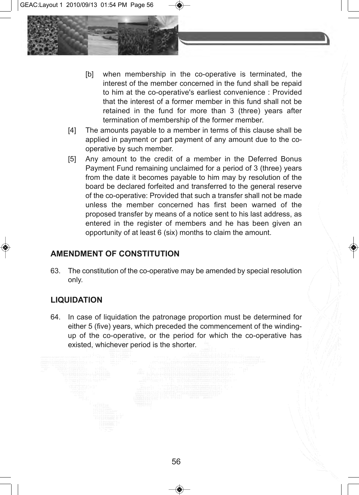[b] when membership in the co-operative is terminated, the interest of the member concerned in the fund shall be repaid to him at the co-operative's earliest convenience : Provided that the interest of a former member in this fund shall not be retained in the fund for more than 3 (three) years after termination of membership of the former member.

化硫酸钠 化硫酸盐

- [4] The amounts payable to a member in terms of this clause shall be applied in payment or part payment of any amount due to the cooperative by such member.
- [5] Any amount to the credit of a member in the Deferred Bonus Payment Fund remaining unclaimed for a period of 3 (three) years from the date it becomes payable to him may by resolution of the board be declared forfeited and transferred to the general reserve of the co-operative: Provided that such a transfer shall not be made unless the member concerned has first been warned of the proposed transfer by means of a notice sent to his last address, as entered in the register of members and he has been given an opportunity of at least 6 (six) months to claim the amount.

#### **AMENDMENT OF CONSTITUTION**

63. The constitution of the co-operative may be amended by special resolution only.

## **LIQUIDATION**

64. In case of liquidation the patronage proportion must be determined for either 5 (five) years, which preceded the commencement of the windingup of the co-operative, or the period for which the co-operative has existed, whichever period is the shorter.

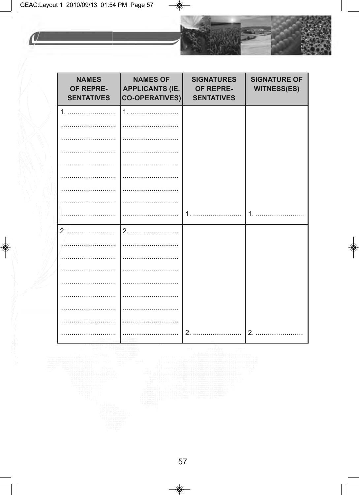$\mathcal{Q}$ 



 $\begin{array}{c} \bullet \ \bullet \end{array}$ 

|                                | <b>NAMES</b><br>OF REPRE-<br><b>SENTATIVES</b> | <b>NAMES OF</b><br><b>APPLICANTS (IE.</b><br><b>CO-OPERATIVES)</b> | <b>SIGNATURES</b><br>OF REPRE-<br><b>SENTATIVES</b> | <b>SIGNATURE OF</b><br><b>WITNESS(ES)</b> |
|--------------------------------|------------------------------------------------|--------------------------------------------------------------------|-----------------------------------------------------|-------------------------------------------|
|                                | 1.                                             | 1.                                                                 |                                                     |                                           |
|                                |                                                | .                                                                  |                                                     |                                           |
|                                |                                                |                                                                    |                                                     |                                           |
|                                |                                                |                                                                    |                                                     |                                           |
|                                |                                                |                                                                    |                                                     |                                           |
| Ý                              |                                                |                                                                    |                                                     |                                           |
|                                |                                                |                                                                    |                                                     |                                           |
|                                |                                                |                                                                    |                                                     |                                           |
|                                |                                                |                                                                    | 1.                                                  | 1.                                        |
| $\vec{\beta}$<br>$\frac{3}{6}$ | 2.                                             | 2.                                                                 |                                                     |                                           |
|                                |                                                |                                                                    |                                                     |                                           |
|                                |                                                |                                                                    |                                                     |                                           |
|                                |                                                |                                                                    |                                                     |                                           |
|                                |                                                |                                                                    |                                                     |                                           |
| F                              |                                                |                                                                    |                                                     |                                           |
|                                |                                                |                                                                    |                                                     |                                           |
|                                |                                                |                                                                    |                                                     |                                           |
| 愛愛的 法性                         | Lápudtá                                        | း နီ မိုးကား                                                       | 2.                                                  | 2.                                        |
|                                |                                                | Hansenberg<br>George Palmer<br>George Palmer<br>ann a              | $\mathbb{R}^{n \times n}$<br>pro n                  |                                           |
| V                              |                                                | $\frac{11}{11}$<br>84                                              | 889                                                 |                                           |
|                                |                                                | gijili <sup>11</sup><br>99 Ma                                      |                                                     |                                           |
|                                |                                                |                                                                    |                                                     |                                           |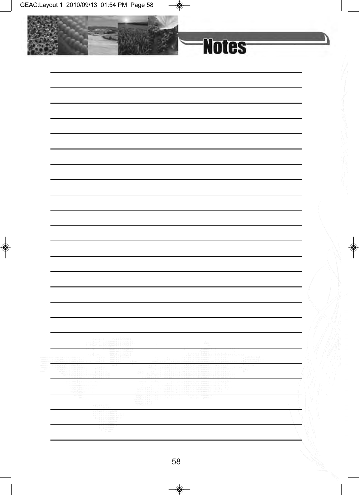| GEAC:Layout 1 2010/09/13 01:54 PM Page 58 |                                                           |
|-------------------------------------------|-----------------------------------------------------------|
|                                           | <b>Notes</b>                                              |
|                                           |                                                           |
|                                           |                                                           |
|                                           |                                                           |
|                                           |                                                           |
|                                           |                                                           |
|                                           |                                                           |
|                                           |                                                           |
|                                           |                                                           |
|                                           |                                                           |
|                                           |                                                           |
|                                           |                                                           |
|                                           |                                                           |
|                                           |                                                           |
| is Baanas<br>Pangguna                     | <b>MAR</b>                                                |
|                                           | Ĵ.<br>)<br>M<br>$\vec{r}$<br>$\blacksquare$<br>$\sqrt{ }$ |
|                                           | W.<br>$\gamma_{\alpha}$<br>ł,<br>A<br>т<br>Í              |
|                                           | IA<br>Po<br>J.<br>ŗ.<br>ý,<br>J.                          |
|                                           | ч,<br>Á<br>$\frac{1}{2}$<br>Ä                             |
| 58                                        |                                                           |
|                                           | a Kabupatén Kabupatén Kabu                                |

 $\frac{1}{2}$ 

♦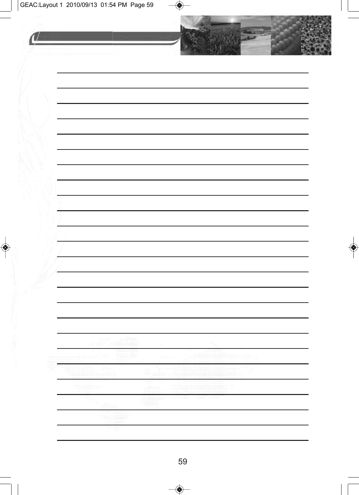